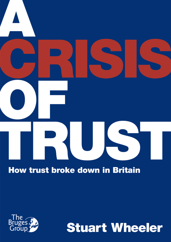

# **How trust broke down in Britain**



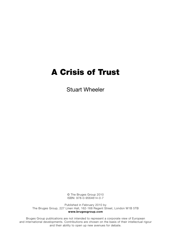# A Crisis of Trust

Stuart Wheeler

© The Bruges Group 2010 ISBN: 978-0-9564614-0-7

Published in February 2010 by The Bruges Group, 227 Linen Hall, 162-168 Regent Street, London W1B 5TB www.brugesgroup.com

Bruges Group publications are not intended to represent a corporate view of European and international developments. Contributions are chosen on the basis of their intellectual rigour and their ability to open up new avenues for debate.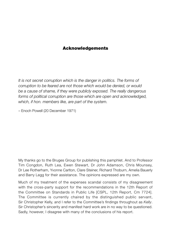# Acknowledgements

*It is not secret corruption which is the danger in politics. The forms of corruption to be feared are not those which would be denied, or would be a cause of shame, if they were publicly exposed. The really dangerous forms of political corruption are those which are open and acknowledged, which, if hon. members like, are part of the system.*

– Enoch Powell (20 December 1971)

My thanks go to the Bruges Group for publishing this pamphlet. And to Professor Tim Congdon, Ruth Lea, Ewen Stewart, Dr John Adamson, Chris Mounsey, Dr Lee Rotherham, Yvonne Carlton, Clare Steiner, Richard Thoburn, Amelia Bauerly and Barry Legg for their assistance. The opinions expressed are my own.

Much of my treatment of the expenses scandal consists of my disagreement with the cross-party support for the recommendations in the 12th Report of the Committee on Standards in Public Life [CSPL, 12th Report, Cm 7724]. The Committee is currently chaired by the distinguished public servant, Sir Christopher Kelly, and I refer to the Committee's findings throughout as *Kelly*. Sir Christopher's sincerity and manifest hard work are in no way to be questioned. Sadly, however, I disagree with many of the conclusions of his report.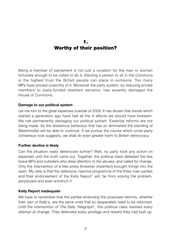# 1. Worthy of their position?

Being a member of parliament is not just a vocation for the man or woman fortunate enough to be called to do it. Electing a person to sit in the Commons is the highest trust the British people can place in someone. Too many MPs have proved unworthy of it. Moreover the party system, by reducing private members to state-funded obedient servants, has severely damaged the House of Commons.

#### Damage to our political system

Let me turn to the great expenses scandal of 2009. It has shown that trends which started a generation ago have had all the ill effects we should have foreseen. We risk permanently damaging our political system. Essential reforms are not being made. So the disastrous behaviour that has so diminished the standing of Westminster will be able to continue. If we pursue the course which cross-party consensus now suggests, we shall do even greater harm to British democracy.

#### Further decline is likely

Can the situation really deteriorate further? Well, no party took any action on expenses until the truth came out. Together, the political class defeated the few brave MPs and outsiders who drew attention to the abuses, and called for change. Only the intervention of a free press (however imperfect) brought things into the open. My view is that the defensive, reactive programme of the three main parties and their endorsement of the Kelly Report<sup>1</sup> will, far from solving the problem, perpetuate and even entrench it.

#### Kelly Report inadequate

We have to remember that the parties endorsing the proposed reforms, whether their own or *Kelly's,* are the same ones that so desperately need to be reformed. Until the intervention of *The Daily Telegraph*2, this political class resisted every attempt at change. They defended every privilege and reward they had built up.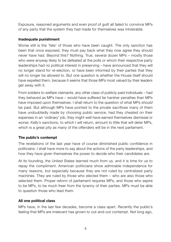Exposure, reasoned arguments and even proof of guilt all failed to convince MPs of any party that the system they had made for themselves was intolerable.

#### Inadequate punishment

Worse still is the 'fate' of those who have been caught. The only sanction has been that once exposed, they must pay back what they now agree they should never have had. Beyond this? Nothing. True, several dozen MPs – mostly those who were anyway likely to be defeated at the polls or whom their respective party leaderships had no political interest in preserving – have announced that they will no longer stand for re-election, or have been informed by their parties that they will no longer be allowed to. But one question is whether the House itself should have expelled them, because it seems that those MPs most valued by their leaders get away with it.

From soldiers to welfare claimants, any other class of publicly paid individuals – had they behaved as MPs have – would have suffered far harsher penalties than MPs have imposed upon themselves. I shall return to the question of what MPs *should* be paid. But although MPs have pointed to the private sacrifices many of them have undoubtedly made by choosing public service, had they cheated on their expenses in an 'ordinary' job, they might well have earned themselves dismissal or worse. *Kelly's* sanctions, to which I will return, amount to little that will deter MPs, which is a great pity as many of the offenders will be in the next parliament.

# The public's contempt

The revelations of the last year have of course diminished public confidence in politicians. I shall have more to say about the actions of the party leaderships, and how they have given themselves the power to decide who their candidates are.

At its founding, the United States learned much from us, and it is time for us to repay the compliment. American politicians show admirable independence for many reasons, but especially because they are not ruled by centralised party machines. They are ruled by those who elected them – who are also those who selected them. Proper reform of parliament requires MPs, and those who aspire to be MPs, to be much freer from the tyranny of their parties. MPs must be able to question those who lead them.

# All one political class

MPs have, in the last few decades, become a class apart. Recently the public's feeling that MPs are irrelevant has grown to out-and-out contempt. Not long ago,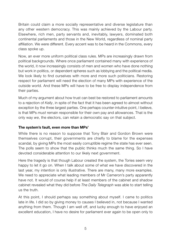Britain could claim a more socially representative and diverse legislature than any other western democracy. This was mainly achieved by the Labour party. Elsewhere, rich men, party servants and, inevitably, lawyers, dominated both continental parliaments and those in the New World, regardless of nominal party affiliation. We were different. Every accent was to be heard in the Commons, every class spoke up.

Now, an ever more uniform political class rules. MPs are increasingly drawn from political backgrounds. Where once parliament contained many with experience of the world, it now increasingly consists of men and women who have done nothing but work in politics, or dependent spheres such as lobbying and the political media. We look likely to find ourselves with more and more such politicians. Restoring respect for parliament will need the election of many MPs with experience of the outside world. And these MPs will have to be free to display independence from their parties.

Much of my argument about how trust can best be restored to parliament amounts to a rejection of *Kelly*, in spite of the fact that it has been agreed to almost without exception by the three largest parties. One perhaps counter-intuitive point, I believe, is that MPs *must* remain responsible for their own pay and allowances. That is the only way *we*, the electors, can retain a democratic say on that subject.

# The system's fault, even more than MPs'

While there is no reason to suppose that Tony Blair and Gordon Brown were themselves corrupt, their governments are chiefly to blame for the expenses scandal, by giving MPs the most easily corruptible regime the state has ever seen. The polls seem to show that the public thinks much the same thing. So I have devoted considerable attention to our likely next government.

Here the tragedy is that though Labour created the system, the Tories seem very happy to let it go on. When I talk about some of what we have discovered in the last year, my intention is only illustrative. There are many, many more examples. We need to appreciate what leading members of Mr Cameron's party apparently have not. It would of course help if at least members of the cabinet and shadow cabinet revealed what they did before *The Daily Telegraph* was able to start telling us the truth.

At this point, I should perhaps say something about myself. I came to politics late in life. I did so by giving money to causes I believed in, not because I wanted anything from them. Though I am well off, and lucky enough to have enjoyed an excellent education, I have no desire for parliament ever again to be open only to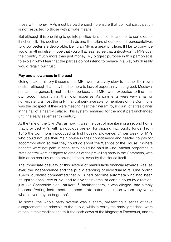those with money. MPs must be paid enough to ensure that political participation is not restricted to those with private means.

But although it is one thing to go into politics rich, it is quite another to come out of it richer still. The decline in standards and the failure of our elected representatives to know better are deplorable. Being an MP is a great privilege. If I fail to convince you of anything else, I hope that you will at least agree that untrustworthy MPs cost the country much more than just money. My biggest purpose in this pamphlet is to explain why I fear that the parties do not intend to behave in a way which really would regain our trust.

# Pay and allowances in the past

Going back in history it seems that MPs were relatively slow to feather their own nests – although that may be due more to lack of opportunity than greed. Medieval parliaments generally met for brief periods, and MPs were expected to find their own accommodation at their own expense. As payments were very small or non-existent, almost the only financial perk available to members of the Commons was the prospect, if they were meeting near the itinerant royal court, of a free dinner in the hall of a nearby palace. This system remained for the most part unchanged until the early seventeenth century.

At the time of the Civil War, as now, it was the cost of maintaining a second home that provided MPs with an obvious pretext for dipping into public funds. From 1645 the Commons introduced its first housing allowance: £4 per week for MPs who could not use their main house in their constituency and needed to pay for accommodation so that they could go about the 'Service of the House'.3 Where benefits were not paid in cash, they could be paid in kind. Vacant properties in state control were assigned to cronies of the prevailing party in the Commons, with little or no scrutiny of the arrangements, even by the House itself.

The immediate casualty of this system of manipulable financial rewards was, as ever, the independence and the public standing of individual MPs. One prolific 1640s journalist commented that MPs had become automata who had been 'taught to speak Aye or No' and to give their votes 'at certain hours by direction, just like Cheapside clock-strikers'.4 Backbenchers, it was alleged, had simply become 'voting instruments': 'those state-catamites, upon whom any votes whatsoever may be begotten'.

To some, the whole party system was a sham, presenting a series of fake disagreements on principle to the public, while in reality the party 'grandees' were at one in their readiness to milk the cash cows of the kingdom's Exchequer, and to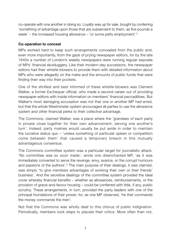co-operate with one another in doing so. Loyalty was up for sale, bought by conferring 'something of advantage upon those that are subservient to them, as five pounds a week' – the increased housing allowance – 'or some petty employment'.5

#### Co-operation to conceal

MPs worked hard to keep such arrangements concealed from the public and, even more importantly, from the gaze of prying newspaper editors, for by the late 1640s a number of London's weekly newspapers were running regular exposés of MPs' financial skulduggery. Like their modern-day successors, the newspaper editors had their whistle-blowers to provide them with detailed information about MPs who were allegedly on the make and the amounts of public funds that were finding their way into their pockets.

One of the shrillest and best informed of these whistle-blowers was Clement Walker, a former Exchequer official, who made a second career out of providing newspaper editors with inside information on members' financial peccadilloes. But Walker's most damaging accusation was not that one or another MP had erred, but that the *whole* Westminster system encouraged all parties to use the allowance system and other financial perks to their collective advantage.

The Commons, claimed Walker, was a place where the 'grandees of each party in private close together for their own advancement, serving one another's turn'. Indeed, party rivalries would usually be put aside in order to maintain the lucrative status quo – 'unless something of particular spleen or competition come between them' that caused a temporary breach in this mutually advantageous consensus.

The Commons committee system was a particular target for journalistic attack. 'No committee was so soon made', wrote one disenchanted MP, 'as it was immediately converted to serve the revenge, envy, avarice, or the corrupt humours and passions of the authors'.<sup>6</sup> The main purpose of their dealings, it was claimed, was simply 'to give members advantages of working their own or their friends' business'. And the secretive dealings of the committee system provided the ideal cover whereby financial benefits – whether as allowances, reimbursements, or the provision of grace-and-favour housing – could be conferred with little, if any, public scrutiny. These arrangements, in turn, provided the party leaders with one of the principal foundations of their power; for, as one MP observed, 'he that commands the money commands the men'.

Not that the Commons was wholly deaf to this chorus of public indignation. Periodically, members took steps to placate their critics. More often than not,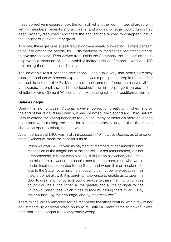these corrective measures took the form of yet another committee, charged with vetting members' receipts and accounts, and judging whether public funds had been properly disbursed. And there the accusations tended to disappear, lost in the longest of parliamentary grass.

To some, these gestures at self-regulation were merely play-acting, 'a mere pageant to flourish among the people, for … 'tis madness to imagine the parliament intends to give any account'. Even viewed from inside the Commons, the Houses' attempts to provide a measure of accountability incited little confidence – with one MP dismissing them as merely 'dilusory'.

The inevitable result of these revelations – again in a way that bears extremely clear comparison with recent experience – was a precipitous drop in the standing and public esteem of MPs. Members of the Commons found themselves vilified as 'locusts, caterpillars, and horse-leeches' – or in the pungent phrase of the whistle-blowing Clement Walker, as an 'excoriating rabble of pestiferous vermin'.

# Salaries begin

During the reign of Queen Victoria, however, corruption greatly diminished, and by the end of her reign, during which, it may be noted, the Second and Third Reform Acts to extend the voting franchise took place, many of Victoria's more advanced politicians were making the case for a parliamentary salary, so that the House should be open to talent, not just wealth.

An annual salary of £400 was finally introduced in 1911. Lloyd George, as Chancellor of the Exchequer, made the case for it thus:

When we offer £400 a year as payment of members of parliament it is not recognition of the magnitude of the service, it is not remuneration, it is not a recompense, it is not even a salary. It is just an allowance, and I think the minimum allowance, to enable men to come here, men who would render incalculable service to the State, and whom it is an incalculable loss to the State not to have here, but who cannot be here because their means do not allow it. It is purely an allowance to enable us to open the door to great and honourable public service to these men, for whom this country will be all the richer, all the greater, and all the stronger for the unknown vicissitudes which it has to face by having there to aid us by their counsel, by their courage, and by their resource.<sup>7</sup>

There things largely remained for the rest of the twentieth century, with a few minor adjustments up or down voted on by MPs, until Mr Heath came to power. It was then that things began to go very badly wrong.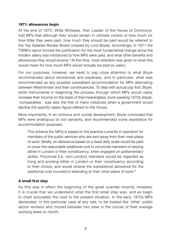#### 1971: allowances begin

At the end of 1970, Willie Whitelaw, then Leader of the House of Commons, told MPs that although they would remain in ultimate control of how much (or how little) they were paid, how much they *should* be paid would be referred to the Top Salaries Review Board (chaired by Lord Boyle). Accordingly, in 1971 the TSRB's report formed the justification for the most fundamental change since the modern salary was introduced to how MPs were paid, and what other benefits and allowances they would receive. $8$  At the time, most attention was given to what this would mean for how much MPs would actually be paid *as salary*.

For our purposes, however, we need to pay close attention to what *Boyle* recommended about allowances and expenses, and in particular, what was recommended as any possible subsidised accommodation for MPs alternating between Westminster and their constituencies. To deal with actual pay first: *Boyle*, while instrumental in beginning the process through which MPs would vastly increase their income on the basis of that meaningless, buck-passing 1970s staple, 'comparables', was also the first of many instances when a government would decline the specific salary figure offered to the House.

More importantly, in an ominous and crucial development, *Boyle* concluded that MPs were analogous to civil servants, and recommended some assistance for accommodation purposes.

This scheme [for MPs] is based on the practice currently in operation for members of the public services who are sent away from their main place of work. Briefly, an allowance based on a fixed daily scale would be paid to cover the reasonable additional cost to provincial members of staying either in London or their constituency, *when engaged on parliamentary duties.* Provincial [i.e. non-London] members would be regarded as living and working either in London or their constituency according to their choice, and would receive the subsistence allowance for the additional cost incurred in attending at their other place of work.<sup>9</sup>

#### A small first step

As this was in effect the beginning of the great scandal recently revealed, it is crucial that we understand what the first small step was, and so begin to chart accurately the road to the present situation. In the early 1970s MPs demanded, in this particular case at any rate, to be treated like 'other' public sector workers who moved between two sites in the course of their average working week or month.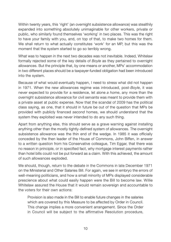Within twenty years, this 'right' (an overnight subsistence allowance) was stealthily expanded into something absolutely unimaginable for other workers, private or public, who similarly found themselves 'working' in two places. This was the right to have your family with you, and, on top of that, to make two homes for them. We shall return to what actually constitutes 'work' for an MP, but this was the moment that the system started to go so terribly wrong.

What was to happen in the next two decades was not inevitable. Indeed, Whitelaw formally rejected some of the key details of *Boyle* as they pertained to overnight allowances. But the principle that, by one means or another, MPs' accommodation in two different places should be a taxpayer-funded obligation had been introduced into the system.

Because of what would eventually happen, I need to stress what did not happen in 1971. When the new allowances regime was introduced, post-*Boyle*, it was never expected to provide for a residence, let alone *a home*, any more than the overnight subsistence allowance for civil servants was meant to provide them with a private asset at public expense. Now that the scandal of 2009 has the political class saying, as one, that it should in future be out of the question that MPs be provided with publicly financed *second* homes, we should understand that the system they exploited was never intended to do any such thing.

Apart from anything else, this should serve as a grave warning against installing anything other than the mostly tightly-defined system of allowances. The overnight subsistence allowance was the thin end of the wedge. In 1985 it was officially conceded by the then leader of the House of Commons, John Biffen, in answer to a written question from his Conservative colleague, Tim Eggar, that there was no reason in principle, or in specified fact, why mortgage interest payments rather than hotel bills could not be put forward as a claim. With this achieved, the amount of such allowances exploded.

We should, though, return to the debate in the Commons in late December 1971 on the Ministerial and Other Salaries Bill. For again, we see in embryo the errors of well-meaning politicians, and how a small minority of MPs displayed considerable prescience about what could easily happen were the Bill to become law. Willie Whitelaw assured the House that it would remain sovereign and accountable to the voters for their own actions:

Provision is also made in the Bill to enable future changes in the salaries which are covered by this Measure to be affected by Order in Council. This change implies a more convenient arrangement. Since the Order in Council will be subject to the affirmative Resolution procedure,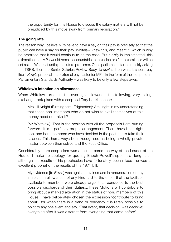the opportunity for this House to discuss the salary matters will not be prejudiced by this move away from primary legislation.10

#### The going rate...

The reason why I believe MPs have to have a say on their pay is precisely so that the public can have a say on their pay. Whitelaw knew this, and meant it, which is why he promised that it would continue to be the case. But if *Kelly* is implemented, this affirmation that MPs would remain accountable to their electors for their salaries will be set aside. We must anticipate future problems. Once parliament started meekly asking the TSRB, then the Senior Salaries Review Body, to *advise* it on what it should pay itself, *Kelly's* proposal – an external paymaster for MPs, in the form of the Independent Parliamentary Standards Authority – was likely to be only a few steps away.

#### Whitelaw's intention on allowances

When Whitelaw turned to the overnight allowance, the following, very telling, exchange took place with a sceptical Tory backbencher:

Mrs Jill Knight (Birmingham, Edgbaston): Am I right in my understanding that those hon. members who do not wish to avail themselves of this money need not take it?

(Mr Whitelaw): That is the position with all the proposals I am putting forward. It is a perfectly proper arrangement. There have been right hon. and hon. members who have decided in the past not to take their salaries. This has always been recognised as being a wholly private matter between themselves and the Fees Office.

Considerably more scepticism was about to come the way of the Leader of the House. I make no apology for quoting Enoch Powell's speech at length, as, although the results of his prophecies have fortunately been mixed, he was an excellent prophet on the results of the 1971 bill:

My evidence [to *Boyle*] was against any increase in remuneration or any increase in allowances of any kind and to the effect that the facilities available to members were already larger than conduced to the best possible discharge of their duties...These Motions will contribute to bring about a marked alteration in the status of hon. members of this House. I have deliberately chosen the expression 'contribute to bring about', for when there is a trend or tendency it is rarely possible to point to any one event and say, 'That event, that decision, was decisive; everything after it was different from everything that came before'.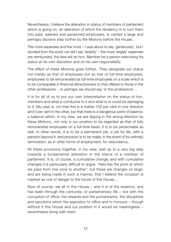Nevertheless, I believe the alteration in status of members of parliament which is going on, an alteration of which the tendency is to turn them into paid, salaried and pensioned employees, is carried a large and perhaps decisive step further by the Motions before the House...

The more expenses and the more – I was about to say 'generously', but I recoiled from the word; nor will I say 'lavishly' – the more 'largely' expenses are reimbursed, the less will an hon. Member be a person exercising his status at his own discretion and on his own responsibility.

The effect of these Motions goes further...They designate our status not merely as that of employees but as that of full-time employees, employees to be remunerated as full-time employees on a scale which is to be comparable in financial attractiveness to that offered to those in the other professions – or perhaps we should say 'in the professions'...

It is for all of us to put our own interpretation on the status of hon. members and what is conducive to it and what is or could be damaging to it. My case is, not that this is a matter 100 per cent in one direction and 0 per cent in the other, but that there is a dangerous point of balance, a balance which, in my view, we are tipping in the wrong direction by these Motions...not only is our position to be regarded as that of fully remunerated employees on a full-time basis; it is to be pensionable as well. In other words, it is to be a permanent job, a job for life, with a pension beyond it; and provision is to be made, in the event of its untimely termination, as in other forms of employment, for redundancy...

All these provisions together, in my view, add up to a very big step towards a fundamental alteration in the status of a member of parliament. It is, of course, a cumulative change; and with cumulative changes it is particularly difficult to argue, 'Here lies the point at which we pass from one zone to another'; but these are changes so large, and are being made in such a manner, that I believe the occasion is marked as one of danger to the future of this House...

Now of course, we all in this House – and it is of the essence, and has been through the centuries, of parliamentary life – live with the corruption of office: the rewards and the punishments, the disciplines and sanctions which the aspiration to office and to honours – though without it this House and our position in it would be meaningless nevertheless bring with them.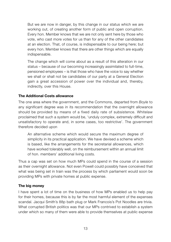But we are now in danger, by this change in our status which we are working out, of creating another form of public and open corruption. Every hon. Member knows that we are not only sent here by those who vote, who cast more votes for us than for any of the other candidates at an election. That, of course, is indispensable to our being here; but every hon. Member knows that there are other things which are equally indispensable.

The change which will come about as a result of this alteration in our status – because of our becoming increasingly assimilated to full-time, pensioned employees – is that those who have the voice to say whether we shall or shall not be candidates of our party at a General Election gain a great accession of power over the individual and, thereby, indirectly, over this House.

#### The Additional Costs allowance

The one area where the government, and the Commons, departed from *Boyle* to any significant degree was in its recommendation that the overnight allowance should be provided by means of a fixed daily rate of subsistence. Whitelaw proclaimed that such a system would be, 'unduly complex, extremely difficult and unsatisfactory to operate and, in some cases, too restrictive'. The government therefore decided upon

An alternative scheme which would secure the maximum degree of simplicity in its practical application. We have devised a scheme which is based, like the arrangements for the secretarial allowances, which have worked tolerably well, on the reimbursement within an annual limit of hon. members' additional living costs.

Thus a cap was set on how much MPs could spend in the course of a session as their overnight allowance. Not even Powell could possibly have conceived that what was being set in train was the process by which parliament would soon be providing MPs with private homes at public expense.

#### The big money

I have spent a lot of time on the business of how MPs enabled us to help pay for their homes, because this is by far the most harmful element of the expenses scandal. Jacqui Smith's 88p bath plug or Mark Francois's Pot Noodles are trivia. What corrupted British politics was that our MPs contrived to establish a system under which so many of them were able to provide themselves at public expense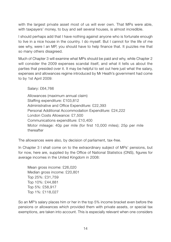with the largest private asset most of us will ever own. That MPs were able, with taxpayers' money, to buy and sell several houses, is almost incredible.

I should perhaps add that I have nothing against anyone who is fortunate enough to live in a nice house in the country. I do myself. But I cannot for the life of me see why, were I an MP, you should have to help finance that. It puzzles me that so many others disagreed.

Much of Chapter 3 will examine what MPs should be paid and why, while Chapter 2 will consider the 2009 expenses scandal itself, and what it tells us about the parties that presided over it. It may be helpful to set out here just what the salary, expenses and allowances regime introduced by Mr Heath's government had come to by 1st April 2009:

Salary: £64,766

Allowances (maximum annual claim) Staffing expenditure: £103,812 Administrative and Office Expenditure: £22,393 Personal Additional Accommodation Expenditure: £24,222 London Costs Allowance: £7,500 Communications expenditure: £10,400 Motor mileage: 40p per mile (for first 10,000 miles); 25p per mile thereafter

The allowances were also, by decision of parliament, tax-free.

In Chapter 3 I shall come on to the extraordinary subject of MPs' pensions, but for now, here are, supplied by the Office of National Statistics (ONS), figures for average incomes in the United Kingdom in 2008:

Mean gross income: £26,020 Median gross income: £20,801 Top 25%: £31,759 Top 10%: £44,881 Top 5%: £58,917 Top 1%: £118,027

So an MP's salary places him or her in the top 5% income bracket even before the pensions or allowances which provided them with private assets, or special tax exemptions, are taken into account. This is especially relevant when one considers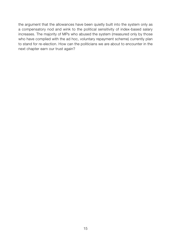the argument that the allowances have been quietly built into the system only as a compensatory nod and wink to the political sensitivity of index-based salary increases. The majority of MPs who abused the system (measured only by those who have complied with the ad hoc, voluntary repayment scheme) currently plan to stand for re-election. How can the politicians we are about to encounter in the next chapter earn our trust again?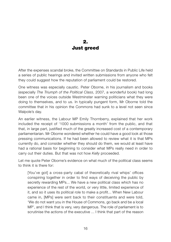# 2. **Just greed**

After the expenses scandal broke, the Committee on Standards in Public Life held a series of public hearings and invited written submissions from anyone who felt they could suggest how the reputation of parliament could be restored.

One witness was especially caustic. Peter Oborne, in his journalism and books (especially *The Triumph of the Political Class*, 2007, a wonderful book) had long been one of the voices outside Westminster warning politicians what they were doing to themselves, and to us. In typically pungent form, Mr Oborne told the committee that in his opinion the Commons had sunk to a level not seen since Walpole's day.

An earlier witness, the Labour MP Emily Thornberry, explained that her work included the receipt of '1000 submissions a month' from the public, and that that, in large part, justified much of the greatly increased cost of a contemporary parliamentarian. Mr Oborne wondered whether he could have a good look at those pressing communications. If he had been allowed to review what it is that MPs currently do, and consider whether they should do them, we would at least have had a rational basis for beginning to consider what MPs really need in order to carry out their duties. But that was not how *Kelly* proceeded.

Let me quote Peter Oborne's evidence on what much of the political class seems to think it is there for:

[You've got] a cross-party cabal of theoretically rival whips' offices conspiring together in order to find ways of deceiving the public by secretly rewarding MPs... We have a new political class which has no experience of the rest of the world, or very little, limited experience of it, and so it uses its political role to make a profit... When New Labour came in, [MPs] were sent back to their constituents and were told, 'We do not want you in the House of Commons, go back and be a local MP', and I think that is very, very dangerous. The role of parliament is to scrutinise the actions of the executive ... I think that part of the reason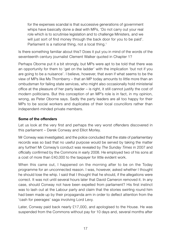for the expenses scandal is that successive generations of government whips have basically done a deal with MPs, 'Do not carry out your real role which is to scrutinise legislation and to challenge Ministers, and we will just sort of find money through the back door for you to be paid'. Parliament is a national thing, not a local thing.<sup>1</sup>

Is there something familiar about this? Does it put you in mind of the words of the seventeenth century journalist Clement Walker quoted in Chapter 1?

Perhaps Oborne put it a bit strongly, but MPs were apt to be told that there was an opportunity for them to 'get on the ladder' with the implication 'but not if you are going to be a nuisance'. I believe, however, that even if what seems to be the view of MPs like Ms Thornberry – that an MP today amounts to little more than an ombudsman for failing state services, who might also occasionally hold ministerial office at the pleasure of her party leader – is right, it still cannot justify the cost of modern politicians. But this conception of an MP's role is in fact, in my opinion, wrong, as Peter Oborne says. Sadly the party leaders are all too happy for their MPs to be social workers and duplicates of their local councillors rather than independent-minded private members.

#### Some of the offenders

Let us look at the very first and perhaps the very worst offenders discovered in this parliament – Derek Conway and Elliot Morley.

Mr Conway was investigated, and the police concluded that the state of parliamentary records was so bad that no useful purpose would be served by taking the matter any further! Mr Conway's conduct was revealed by *The Sunday Times* in 2007 and officially confirmed by the Commons in early 2008. He employed two of his sons at a cost of more than £40,000 to the taxpayer for little evident work.

When this came out, I happened on the morning after to be on the Today programme for an unconnected reason. I was, however, asked whether I thought he should lose the whip. I said that I thought that he should, if the allegations were correct. It was not until several hours later that David Cameron removed it. In any case, should Conway not have been expelled from parliament? His first instinct was to lash out at the Labour party and claim that the stories swirling round him had been made up by their propaganda arm in order to deflect attention from the 'cash for peerages' saga involving Lord Levy.

Later, Conway paid back nearly £17,000, and apologised to the House. He was suspended from the Commons without pay for 10 days and, several months after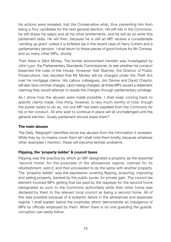his actions were revealed, lost the Conservative whip, thus preventing him from being a Tory candidate for the next general election. He still sits in the Commons, he still draws his salary and all his other entitlements, and he will do so while this parliament lasts. He will then, because he is still an MP, receive a considerable 'winding up grant' unless it is forfeited (as in the recent case of Harry Cohen) and a parliamentary pension. I shall return to these pieces of good fortune for Mr Conway, and so many other MPs, shortly.

Then there is Elliot Morley. The former environment minister was investigated by John Lyon, the Parliamentary Standards Commissioner, to see whether his conduct breached the rules of the House. However, Keir Starmer, the Director of Public Prosecutions, has decided that Mr Morley will be charged under the Theft Act over his mortgage claims. His Labour colleagues, Jim Devine and David Chaytor, will also face criminal charges. Upon being charged, all three MPs issued a statement claiming they would attempt to evade the charges through parliamentary privilege.

As I show how the abuses were made possible, I shall keep coming back to specific claims made. One thing, however, is very much worthy of note: though the power exists to do so, not one MP has been expelled from the Commons for his or her conduct. All who wish to continue in place will sit unchallenged until the general election. Surely parliament should expel them?

#### The main abuses

*The Daily Telegraph*2 identified some key abuses from the information it revealed. While they by no means cover them all I shall note them briefly, because whatever other examples I mention, these will become familiar problems.

# Flipping, the 'property ladder' & council taxes

Flipping was the practice by which an MP designated a property as the essential 'second home' for the purposes of the allowances regime, claimed for its refurbishment, sold it, and then proceeded to do the same with another property. The 'property ladder' was the expression covering flipping, acquiring, improving and selling property, backed by the public purse, for private gain. The council tax element involved MPs getting that tax paid by the taxpayer for the second home (designated as such to the Commons authorities) while their other home was declared by them to the relevant local council as being a second home. All of this was possible because of a systemic failure in the allowances and expenses regime. I shall explain below the loopholes which demonstrate an indulgence of MPs by officials employed by them. When there is no one guarding the guards, corruption can easily follow.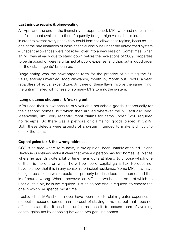#### Last minute repairs & binge-eating

As April and the end of the financial year approached, MPs who had not claimed the full amount available to them frequently bought high value, last-minute items, in order to extract every penny they could from the allowances regime, because – in one of the rare instances of basic financial discipline under the unreformed system – unspent allowances were not rolled over into a new session. Sometimes, when an MP was already due to stand down before the revelations of 2009, properties to be disposed of were refurbished at public expense, and thus put in good order for the estate agents' brochures.

Binge-eating was the newspaper's term for the practice of claiming the full £400, entirely unverified, food allowance, month in, month out (£4800 a year) regardless of actual expenditure. All three of these flaws involve the same thing: the untrammelled willingness of so many MPs to milk the system.

# 'Long distance shoppers' & 'maxing out'

MPs used their allowances to buy valuable household goods, theoretically for their second homes, but which then arrived wherever the MP actually lived. Meanwhile, until very recently, most claims for items under £250 required no receipts. So there was a plethora of claims for goods priced at £249. Both these defects were aspects of a system intended to make it difficult to check the facts.

# Capital gains tax & the wrong address

CGT is an area where MPs have, in my opinion, been unfairly attacked. Inland Revenue guidelines make it clear that where a person has two homes i.e. places where he spends quite a bit of time, he is quite at liberty to choose which one of them is the one on which he will be free of capital gains tax. He does not have to show that it is in any sense his principal residence. Some MPs may have designated a place which could not properly be described as a home, and that is of course wrong. Where, however, an MP has two houses, both of which he uses quite a bit, he is not required, just as no one else is required, to choose the one in which he spends most time.

I believe that MPs should never have been able to claim greater expenses in respect of second homes than the cost of staying in hotels, but that does not affect the fact that it has been unfair, as I see it, to accuse them of avoiding capital gains tax by choosing between two genuine homes.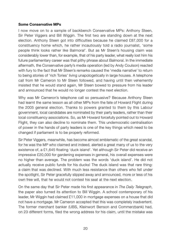#### Some Conservative MPs

I now move on to a sample of backbench Conservative MPs: Anthony Steen, Sir Peter Viggers and Bill Wiggin. The first two are standing down at the next election. Anthony Steen got into difficulties because he claimed £87,000 for a constituency home which, he rather incautiously told a radio journalist, 'some people think looks rather like Balmoral'. But as Mr Steen's housing claim was considerably lower than, for example, that of his party leader, what really lost him his future parliamentary career was that pithy phrase about Balmoral. In the immediate aftermath, the Conservative party's media operation (led by Andy Coulson) reacted with fury to the fact that Mr Steen's remarks caused the 'media narrative' to return to being stories of 'rich Tories' living unapologetically in large houses. A telephone call from Mr Cameron to Mr Steen followed, and having until then vehemently insisted that he would stand again, Mr Steen bowed to pressure from his leader and announced that he would no longer contest the next election.

Why was Mr Cameron's telephone call so persuasive? Because Anthony Steen had learnt the same lesson as all other MPs from the fate of Howard Flight during the 2005 general election. Thanks to powers granted to them by this Labour government, local candidates are nominated by their party leaders, rather than their local constituency associations. So, as Mr Howard forcefully pointed out to Howard Flight, they can also decline to nominate them. This undemocratic centralisation of power in the hands of party leaders is one of the key things which need to be changed if parliament is to be properly reformed.

Sir Peter Viggers, meanwhile, has become almost emblematic of the great scandal, for he was the MP who claimed and indeed, alerted a great many of us to the very existence of, a £1,645 floating 'duck island'. Yet although Sir Peter did receive an impressive £20,000 for gardening expenses in general, his overall expenses were no higher than average. The problem was the words 'duck island'. He did not actually receive public funds for his ducks! The duck island was that rare thing: a claim that was declined. With much less resistance than others who fell under the spotlight, Sir Peter gracefully slipped away and announced, more or less of his own free will, that he would not contest his seat at the next election.

On the same day that Sir Peter made his first appearance in *The Daily Telegraph*, the paper also turned its attention to Bill Wiggin. A school contemporary of his leader, Mr Wiggin had claimed £11,000 in mortgage expenses on a house that did not have a mortgage. Mr Cameron accepted that this was completely inadvertent. The former merchant banker (UBS, Kleinwort Benson and Commerzbank) had, on 23 different forms, filed the wrong address for his claim, until the mistake was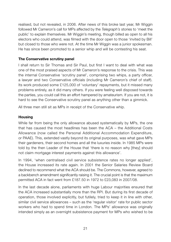realised, but not revealed, in 2006. After news of this broke last year, Mr Wiggin followed Mr Cameron's call for MPs affected by the *Telegraph's* stories to 'meet the public' to explain themselves. Mr Wiggin's meeting, though billed as open to all his electors who could attend, was filmed with the door open to those 'invited by Bill' but closed to those who were not. At the time Mr Wiggin was a junior spokesman. He has since been promoted to a senior whip and will be contesting his seat.

#### The Conservative scrutiny panel

I shall return to Sir Thomas and Sir Paul, but first I want to deal with what was one of the most praised aspects of Mr Cameron's response to the crisis. This was the internal Conservative 'scrutiny panel', comprising two whips, a party officer, a lawyer and two Conservative officials (including Mr Cameron's chief of staff). Its work produced some £125,000 of 'voluntary' repayments, but it missed many problems entirely, as it did many others. If you were feeling well disposed towards the parties, you could call this an effort hampered by amateurism. If you are not, it is hard to see the Conservative scrutiny panel as anything other than a gimmick.

All three men still sit as MPs in receipt of the Conservative whip.

# **Housing**

While far from being the only allowance abused systematically by MPs, the one that has caused the most headlines has been the ACA – the Additional Costs Allowance (now called the Personal Additional Accommodation Expenditure, or PAAE). This, extended vastly beyond its original purposes, was what gave MPs their gardeners, their second homes and all the luxuries inside. In 1985 MPs were told by the then Leader of the House that 'there is no reason why [they] should not claim mortgage interest payments against this allowance'.

In 1994, 'when centralised civil service subsistence rates no longer applied', the House increased its rate again. In 2001 the Senior Salaries Review Board declined to recommend what the ACA should be. The Commons, however, agreed to a backbench amendment significantly raising it. The crucial point is that the maximum permitted ACA in fact went from £187.50 in 1972 to £23,083 in 2007/08.

In the last decade alone, parliaments with huge Labour majorities ensured that the ACA increased substantially more than the RPI. But during its first decade of operation, those involved explicitly, but futilely, tried to keep it in line with other, similar civil service allowances – such as the 'regular visitor' rate for public sector workers who had to spend time in London. The MPs' allowance was originally intended simply as an overnight subsistence payment for MPs who wished to be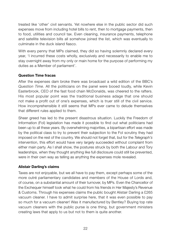treated like 'other' civil servants. Yet nowhere else in the public sector did such expenses move from including hotel bills to rent, then to mortgage payments, then to food, utilities and council tax. Even cleaning, insurance payments, telephone and satellite television bills all somehow joined the list, which was eventually to culminate in the duck island fiasco.

With every penny that MPs claimed, they did so having solemnly declared every year, 'I incurred these costs wholly, exclusively and necessarily to enable me to stay overnight away from my only or main home for the purpose of performing my duties as a Member of parliament'.

# Question Time fracas

After the expenses dam broke there was broadcast a wild edition of the BBC's *Question Time*. All the politicians on the panel were booed loudly, while Kevin Easterbrook, CEO of the fast food chain McDonalds, was cheered to the rafters. His most popular point was the traditional business adage that one should not make a profit out of one's expenses, which is truer still of the civil service. How incomprehensible it still seems that MPs ever came to delude themselves that different rules applied to them.

Sheer greed has led to the present disastrous situation. Luckily the Freedom of Information (FoI) legislation has made it possible to find out what politicians had been up to all these years. By overwhelming majorities, a bipartisan effort was made by the political class to try to prevent their subjection to the FoI scrutiny they had imposed on the rest of the country. We should not forget that, but for the *Telegraph's* intervention, this effort would have very largely succeeded without complaint from either main party. As I shall show, the postures struck by both the Labour and Tory leaderships, when they thought anything like full disclosure could still be prevented, were in their own way as telling as anything the expenses mole revealed.

#### Alistair Darling's claims

Taxes are not enjoyable, but we all have to pay them, except perhaps some of the more outré parliamentary candidates and members of the House of Lords and, of course, on a substantial amount of their turnover, by MPs. Even the Chancellor of the Exchequer himself took what he could from his friends in Her Majesty's Revenue & Customs. Through his expenses claims the public bought Alistair Darling a £265 vacuum cleaner. I have to admit surprise here, that it was even possible to pay so much for a vacuum cleaner! Was it manufactured by Bentley? Buying top rate vacuum cleaners with the public purse is one thing, but government ministers creating laws that apply to us but not to them is quite another.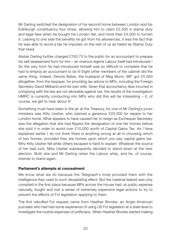Mr Darling switched the designation of his second home between London and his Edinburgh constituency *four times*, allowing him to claim £2,500 in stamp duty and legal fees when he bought his London flat, and more than £4,000 to furnish it. Leaving to one side the benefits he got from his allowances, it was the fact that he was able to avoid a tax he imposes on the rest of us as hated as Stamp Duty that irked.

Alistair Darling further charged £763.75 to the public for an accountant to prepare his self-assessment form for him – an onerous regime Labour itself had introduced.<sup>3</sup> So the very form he had introduced himself was so difficult to complete that he had to employ an accountant to do it! Eight other members of the cabinet did the same thing. Indeed, Dennis Bates, the husband of Meg Munn, MP, got £5,000 altogether, from the taxpayer, for providing tax advice to MPs, including the Foreign Secretary David Miliband and his own wife. Given that accountancy fees incurred in complying with the law are not allowable against tax, the results of the investigation HMRC is currently conducting into MPs who did this will be interesting – if, of course, we get to hear about it!

Something must have been in the air at the Treasury, for one of Mr Darling's junior ministers was Kitty Ussher, who claimed a generous £20,000 for repairs to her London home. What appears to have caused her to resign as Exchequer Secretary was the allegation that she had flipped the designation of one her homes before she sold it in order to avoid over £10,000 worth of Capital Gains Tax. As I have explained earlier I do not think there is anything wrong at all in choosing which of two homes, provided they are homes upon which you pay capital gains tax. Why Kitty Ussher fell while others escaped is hard to explain. Whatever the source of her bad luck, Miss Ussher subsequently decided to stand down at the next election. Both she and Mr Darling retain the Labour whip, and he, of course, intends to stand again.

# Parliament's attempts at concealment

We know what we do because the *Telegraph's* mole provided them with the intelligence they used to such devastating effect. But the material leaked was only compiled in the first place because MPs across the House had, at public expense naturally, fought and lost a series of extremely expensive legal actions to try to prevent the effects of FoI legislation applying to them.

The first rebuffed FoI request came from Heather Brooke, an Anglo-American journalist who had had some experience of using US FoI legislation at a state level to investigate the routine expenses of politicians. When Heather Brooke started making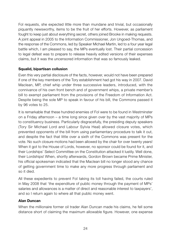FoI requests, she expected little more than mundane and trivial, but occasionally piquantly newsworthy, items to be the fruit of her efforts. However, as parliament fought to keep just about everything secret, others joined Brooke in making requests. A joint appeal in 2005 to the Information Commissioner, Jon Ungoed-Thomas, and the response of the Commons, led by Speaker Michael Martin, led to a four year legal battle which, I am pleased to say, the MPs eventually lost. Their partial concession to legal defeat was to prepare to release heavily edited versions of their expenses claims, but it was the uncensored information that was so famously leaked.

# Squalid, bipartisan collusion

Even this very partial disclosure of the facts, however, would not have been prepared if one of the key members of the Tory establishment had got his way in 2007. David Maclean, MP, chief whip under three successive leaders, introduced, with the connivance of his own front bench and of government whips, a private member's bill to exempt parliament from the provisions of the Freedom of Information Act. Despite being the sole MP to speak in favour of his bill, the Commons passed it by 96 votes to 25.

It is remarkable that these hundred enemies of FoI were to be found in Westminster on a Friday afternoon – a time long since given over by the vast majority of MPs to constituency business. Particularly disgracefully, the presiding deputy speakers (Tory Sir Michael Lord and Labour Sylvia Heal) allowed closure votes, which prevented opponents of the bill from using parliamentary procedure to talk it out, and despite the fact that little over a sixth of the Commons was present for the vote. No such closure motions had been allowed by the chair for over twenty years! When it got to the House of Lords, however, no sponsor could be found for it, and their Lordships' Select Committee on the Constitution attacked it lustily. Well done, their Lordships! When, shortly afterwards, Gordon Brown became Prime Minister, his official spokesman indicated that the Maclean bill no longer stood any chance of getting government time to make any more progress through parliament and so it died.

All these expedients to prevent FoI taking its toll having failed, the courts ruled in May 2008 that 'the expenditure of public money through the payment of MPs' salaries and allowances is a matter of direct and reasonable interest to taxpayers', and so I return again to where all that public money went.

#### Alan Duncan

When the millionaire former oil trader Alan Duncan made his claims, he fell some distance short of claiming the maximum allowable figure. However, one expense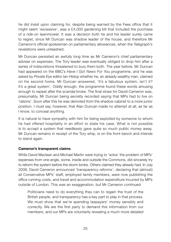he did insist upon claiming for, despite being warned by the Fees office that it might seem 'excessive', was a £4,000 gardening bill that included the purchase of a ride-on lawnmower. It was a decision both he and his leader surely came to regret, since Mr Duncan was shadow leader of the house, and therefore Mr Cameron's official spokesman on parliamentary allowances, when the *Telegraph's* revelations were unleashed.

Mr Duncan persisted an awfully long time as Mr Cameron's chief parliamentary adviser on expenses. The Tory leader was eventually obliged to drop him after a series of indiscretions threatened to bury them both. The year before, Mr Duncan had appeared on the BBC's *Have I Got News For You* programme, and he was asked by *Private Eye* editor Ian Hislop whether he, an already wealthy man, claimed on his second home. Mr Duncan answered, 'It's a fabulous system, isn't it? It's a great system'. Oddly enough, the programme found these words amusing enough to repeat after the scandal broke. The final straw for David Cameron was, presumably, Mr Duncan being secretly recorded saying that MPs had to live on 'rations'. Soon after this he was demoted from the shadow cabinet to a more junior position. I must say, however, that Alan Duncan made no attempt at all, as far as I know, to conceal anything.

It is natural to have sympathy with him for being exploited by someone to whom he had offered hospitality in an effort to state his case. What is not possible is to accept a system that needlessly gave quite so much public money away. Mr Duncan remains in receipt of the Tory whip, is on the front bench and intends to stand again.

#### Cameron's transparent claims

While David Maclean and Michael Martin were trying to 'solve' the problem of MPs' expenses from one angle, some, inside and outside the Commons, did sincerely try to reform the system before the storm broke. Others claimed they already had. In July 2008, David Cameron announced 'transparency reforms', declaring that (almost) all Conservative MPs' staff, employed family members, were now publishing the office running costs, and travel and accommodation expenditure incurred by MPs outside of London. This was an exaggeration, but Mr Cameron continued:

Politicians need to do everything they can to regain the trust of the British people, and transparency has a key part to play in that process. We must show that we're spending taxpayers' money sensibly and correctly. We are the first party to demand this information from our members, and our MPs are voluntarily revealing a much more detailed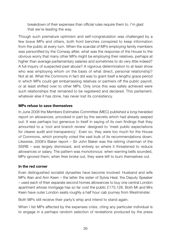breakdown of their expenses than official rules require them to. I'm glad that we're leading the way.

Though such premature optimism and self-congratulation was challenged by a few brave MPs and others, both front benches conspired to keep information from the public at every turn. When the scandal of MPs employing family members was personified by the Conway affair, what was the response of the House to the obvious worry that many other MPs might be employing their relatives, perhaps at higher than average parliamentary salaries and sometimes to do very little indeed? A full inquiry of suspected past abuse? A vigorous determination to at least show who was employing whom on the basis of what direct, personal relationship? Not at all. What the Commons in fact did was to grant itself a lengthy grace period in which MPs could get embarrassing relatives or partners off the public payroll, or at least shifted over to other MPs. Only once this was safely achieved were such relationships that remained to be registered and declared. This parliament, whatever else it has done, has never lost its consistency.

# MPs refuse to save themselves

In June 2008 the Members Estimates Committee (MEC) published a long-heralded report on allowances, provoked in part by the secrets which had already seeped out. It was perhaps too generous to itself in saying of its own findings that they amounted to a 'root and branch review' designed to 'meet public expectations for clearer audit and transparency'. Even so, they were too much for the House of Commons, which promptly voted the vast bulk of its recommendations down. Likewise, 2008's Baker report – Sir John Baker was the retiring chairman of the SSRB – was largely dismissed, and entirely so where it threatened to reduce allowances or salary. The pattern was monotonous: when warning bells sounded, MPs ignored them; when fires broke out, they were left to burn themselves out.

#### In the red corner

Even distinguished socialist dynasties have become involved. Husband and wife MPs Alan and Ann Keen – the latter the sister of Sylvia Heal, the Deputy Speaker – used each of their separate second homes allowances to buy one central London apartment whose mortgage has so far cost the public £175,128. Both Mr and Mrs Keen have outer London seats roughly a half hour cab journey from Westminster.

Both MPs still receive their party's whip and intend to stand again.

When I list MPs affected by the expenses crisis, citing any particular individual is to engage in a perhaps random selection of revelations produced by the press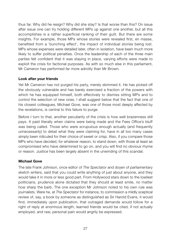thus far. Why did he resign? Why did she stay? Is that worse than this? On issue after issue one can try holding different MPs up against one another, but all this accomplishes is a rather superficial ranking of their guilt. But there are some insights. For example, those MPs whose stories were revealed first, en masse, benefited from a 'bunching effect', the impact of individual stories being lost. MPs whose expenses were detailed later, often in isolation, have been much more likely to suffer political penalties. Once the leadership of each of the three main parties felt confident that it was staying in place, varying efforts were made to exploit the crisis for factional purposes. As with so much else in this parliament, Mr Cameron has performed far more adroitly than Mr Brown.

#### Look after your friends

Yet Mr Cameron has not purged his party, merely skimmed it. He has picked off the obviously vulnerable and has barely exercised a fraction of the powers with which he has equipped himself, both effectively to dismiss sitting MPs and to control the selection of new ones. I shall suggest below that the fact that one of his closest colleagues, Michael Gove, was one of those most deeply affected by the revelations, is central to this failure to purge.

Before I turn to that, another peculiarity of the crisis is how well brazenness still pays. It paid literally when claims were being made and the Fees Office's bluff was being called. Those who were scrupulous enough actually (and frequently unnecessarily) to detail what they were claiming for, have in all too many cases simply been ridiculed for their choice of sweet or crisp. Also, if you compare those MPs who have decided, for whatever reason, to stand down, with those at least as compromised who have determined to go on, and you will find no obvious rhyme or reason. Justice has been largely absent in the unwinding of this scandal.

# Michael Gove

The late Frank Johnson, once editor of *The Spectator* and doyen of parliamentary sketch writers, said that you could write anything of just about anyone, and they would take it in more or less good part. From Hollywood stars down to the lowliest politicians, prudence alone dictated that they should at least smile, no matter how sharp the barb. The one exception Mr Johnson noted to his own rule was journalists. Were he, at *The Spectator* for instance, to commission a mildly sceptical review of, say, a book by someone as distinguished as Sir Harold Evans, it would find, immediately upon publication, that outraged demands would follow for a right of reply at enormous length, learned friends would be cited, if not actually employed, and raw, personal pain would angrily be expressed.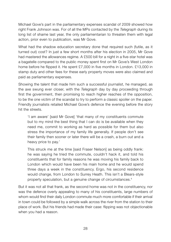Michael Gove's part in the parliamentary expenses scandal of 2009 showed how right Frank Johnson was. For of all the MPs contacted by the *Telegraph* during its long list of shame last year, the only parliamentarian to threaten them with legal action, prior even to publication, was Mr Gove.

What had the shadow education secretary done that required such (futile, as it turned out) cost? In just a few short months after his election in 2005, Mr Gove had mastered the allowances regime. A £500 bill for a night in a five-star hotel was a bagatelle compared to the public money spent first on Mr Gove's West London home before he flipped it. He spent £7,000 in five months in London. £13,000 in stamp duty and other fees for these early property moves were also claimed and paid as parliamentary expenses.

Showing the talent that made him such a successful journalist, he managed, as the axe swung ever closer, with the *Telegraph* day by day proceeding through first the government, then promising to reach higher reaches of the opposition, to be the one victim of the scandal to try to perform a classic spoiler on the paper. Friendly journalists retailed Michael Gove's defence the evening before the story hit the streets.

'I am aware' [said Mr Gove] 'that many of my constituents commute but to my mind the best thing that I can do is be available when they need me, commit to working as hard as possible for them but also stress the importance of my family life generally. If people don't see their family then sooner or later there will be a crash, a burn out and a heavy price to pay.'

This struck me at the time [said Fraser Nelson] as being oddly frank: he was saying he tried the commute, couldn't hack it, and told his constituents that for family reasons he was moving his family back to London which would have been his main home and he would spend three days a week in the constituency. Ergo, his second residence would change, from London to Surrey Heath. This isn't a Blears-style property speculation, but a genuine change of circumstances.4

But it was not all that frank, as the second home was not in the constituency, nor was the defence overly appealing to many of his constituents, large numbers of whom would find their daily London commute much more comfortable if their arrival in town could be followed by a simple walk across the river from the station to their place of work. But his friends had made their case: flipping was not objectionable when you had a reason.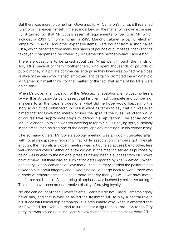But there was more to come from Gove and, to Mr Cameron's horror, it threatened to embroil the leader himself in the scandal beyond the matter of his own expenses. For it turned out that Mr Gove's essential requirements for being an MP which included a £331 Chinon armchair, a £493 Manchu cabinet, a pair of elephant lamps for £134.50, and other expensive items, were bought from a shop called OKA, which benefited from many thousands of pounds of purchases, thanks to the taxpayer. It happens to be owned by Mr Cameron's mother-in-law, Lady Astor.

There are questions to be asked about this. What went through the minds of Tory MPs, several of them frontbenchers, who spent thousands of pounds of public money in a private commercial enterprise they knew was owned by a close relative of the man who in effect employed, and certainly promoted them? What did Mr Cameron himself think, for that matter, of the fact that some of his MPs were doing this?

When Mr Gove, in anticipation of the *Telegraph's* revelations, employed no less a lawyer than Anthony Julius to assert that his client had 'complete and compelling' answers to all the paper's questions, what did he hope would happen to the story about to be published<sup>5</sup>? Mr Julius went as far as to say that if it was even hinted that Mr Gove had merely broken the spirit of the rules, his client would of course take 'appropriate steps to defend his reputation'. The actual action Mr Gove ended up taking was volunteering to repay £7,000, saying sorry fulsomely in the press, then holding one of the earlier 'apology meetings' in his constituency.

Like so many others, Mr Gove's apology meeting was an oddly truncated affair, with local newspapers reporting that while association members got in easily enough, the theoretically open meeting was not quite so accessible to other, less well-disposed voters.<sup>6</sup> Although a few did get in, the meeting served its purpose by being well briefed to the national press as having been a success from Mr Gove's point of view. But there was an illuminating detail reported by *The Guardian*. '[When] one angry ex-serviceman told Gove that during a surgery session the politician had talked to him about integrity and asked if he could not go back to work, there was a ripple of embarrassment. 'I have more integrity than you will ever have mate,' the former soldier said. A smattering of applause was hushed by collective tutting.'7 This must have been an unattractive display of braying loyalty.

No one can doubt Michael Gove's talents. I certainly do not. David Cameron rightly never has, and that is why he asked the freshman MP to play a central role in his successful leadership campaign. It is presumably why, when it emerged that Mr Gove had, for example, tried to lure no less a figure than Lord Levy to the Tory party this was smiled upon indulgently. How then to measure the man's worth? The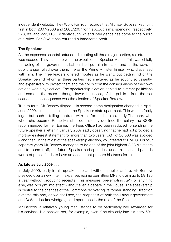independent website, They Work For You, records that Michael Gove ranked joint first in both 2007/2008 and 2006/2007 for his ACA claims, spending, respectively, £23,083 and £22,110. Evidently such wit and intelligence has come to the public at a price. For OKA it has returned a handsome profit.

# The Speakers

As the expenses scandal unfurled, disrupting all three major parties, a distraction was needed. They came up with the expulsion of Speaker Martin. This was chiefly the doing of the government. Labour had put him in place, and as the wave of public anger rolled over them, it was the Prime Minister himself who dispensed with him. The three leaders offered tributes as he went, but getting rid of the Speaker behind whom all three parties had sheltered as he sought so valiantly, and expensively, to protect them and their MPs from the consequences of their own actions was a cynical act. The speakership election served to distract politicians and some in the press – though fewer, I suspect, of the public – from the real scandal. Its consequence was the election of Speaker Bercow.

True to form, Mr Bercow flipped. His second home designation changed in April-June 2009, just in time to inherit the Speaker's state apartment. This was perfectly legal, but such a telling contrast with his former heroine, Lady Thatcher, who when she became Prime Minister, consistently declined the salary the SSRB recommended for her. Earlier, the Fees Office had been reduced to sending the future Speaker a letter in January 2007 sadly observing that he had not provided a mortgage interest statement for more than two years. CGT of £6,508 was avoided – and then, in the midst of the speakership election, volunteered to HMRC. For four separate years Mr Bercow managed to be one of the joint highest ACA claimants and to round it off, the future Speaker had spent just under a thousand pounds worth of public funds to have an accountant prepare his taxes for him.

# As late as July 2009 . . .

In July 2009, early in his speakership and without public fanfare, Mr Bercow presided over a new, interim expenses regime permitting MPs to claim up to £9,125 a year without producing receipts. This measure, pre-empting *Kelly* or anything else, was brought into effect without even a debate in the House. The speakership is central to the chances of the Commons recovering its former standing. Tradition dictates this and, as we shall see, the proposals of both the Labour government and *Kelly* still acknowledge great importance in the role of the Speaker.

Mr Bercow, a relatively young man, stands to be particularly well rewarded for his services. His pension pot, for example, even if he sits only into his early 60s,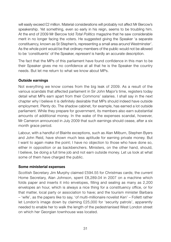will easily exceed £2 million. Material considerations will probably not affect Mr Bercow's speakership. Yet something, even so early in his reign, seems to be troubling him. At the end of 2009 Mr Bercow told *Total Politics* magazine that he saw considerable merit in no longer facing the voters. He suggested giving the Speaker 'a separate constituency, known as St Stephen's, representing a small area around Westminster'. As the whole point would be that ordinary members of the public would not be allowed to be 'constituents' of the Speaker, *represent* is hardly an accurate description.

The fact that the MPs of this parliament have found confidence in this man to be their Speaker gives me no confidence at all that he is the Speaker the country needs. But let me return to what we know about MPs.

# Outside earnings

Not everything we know comes from the big leak of 2009. As a result of the various scandals that affected parliament in Sir John Major's time, registers today detail what MPs earn apart from their Commons' salaries. I shall say in the next chapter why I believe it is definitely desirable that MPs should indeed have outside employment. Plenty do. The shadow cabinet, for example, has earned a lot outside parliament. While they prepare for government, its members also earn substantial amounts of additional money. In the wake of the expenses scandal, however, Mr Cameron announced in July 2009 that such earnings should cease, after a six month grace period.

Labour, with a handful of Blairite exceptions, such as Alan Milburn, Stephen Byers and John Reid, have shown much less aptitude for earning private money. But I want to again make the point; I have no objection to those who have done so, either in opposition or as backbenchers. Ministers, on the other hand, should, I believe, be doing a full time job and not earn outside money. Let us look at what some of them have charged the public.

# Some ministerial expenses

Scottish Secretary Jim Murphy claimed £594.55 for Christmas cards; the current Home Secretary, Alan Johnson, spent £8,289.04 in 2007 on a machine which folds paper and inserts it into envelopes, filling and sealing as many as 2,200 envelopes an hour, which is always a nice thing for a constituency office, or for that matter, local party or association to have; and the tourism minister Barbara – 'wife', as the papers like to say, 'of multi-millionaire novelist Ken' – Follett rather let London's image down by claiming £25,000 for 'security patrols', apparently needed to enable her to walk the length of the pedestrianised West London street on which her Georgian townhouse was located.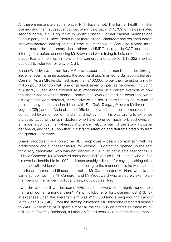All these ministers are still in place. Phil Hope is not. The former health minister claimed and then, subsequent to discovery, paid back, £41,709 for his designated second home, a 511 sq ft flat in South London. Former cabinet member and Labour party chair Hazel Blears is not there either. Admittedly she resigned before she was sacked, calling on the Prime Minister to quit. She also flipped three times, made the customary declarations to HMRC as regards CGT, and in the interregnum, before denouncing Mr Brown and while trying to hold onto her cabinet place, tearfully held up in front of the cameras a cheque for £13,332 she had decided to volunteer by way of CGT.

Shaun Woodward, former Tory MP, now Labour cabinet member, carries through life, whenever his name appears, the additional tag, 'married to Sainsbury's heiress, Camilla'. As an MP, he claimed more than £100,000 to pay the interest on a multimillion pound London flat, one of at least seven properties he owned, including a 6-storey Queen Anne townhouse in Westminster. In a perfect example of how the sheer scope of the scandal sometimes overwhelmed its coverage, when his expenses were detailed, Mr Woodward did not dispute the six figure sum of public money, but instead quibbled with *The Daily Telegraph* over a Muller crunch yoghurt (38p) and an Asda pizza (£1.06), both of which had, he informed us, been consumed by a member of his staff and not by him. This was taking to extremes a classic tactic of the spin doctors who have done so much to breed cynicism in modern political life, whereby if one can rebut a part of the story, however peripheral, and focus upon that, it distracts attention and detracts credibility from the greater substance.

Shaun Woodward – a long-time BBC employee – bears comparison with his predecessor and successor as MP for Witney. His defection opened up the seat for a Tory candidate, who was not elected in 1997, to get a safe seat for 2001 – David Cameron. Mr Woodward had succeeded Douglas Hurd – a man who during his own leadership bid in 1990 had been unfairly ridiculed for saying nothing other than the truth, which was that instead of being to the manner born, he was the son of a tenant farmer and itinerant journalist. Mr Cameron and Mr Hurd went to the same school, but it is Mr Cameron and Mr Woodward who are surely exemplary members of the modern political class, not Douglas Hurd.

I wonder whether it worries some MPs that there were some highly honourable men and women amongst them? Philip Hollobone, a Tory, claimed just £43,737 in expenses when the average claim was £135,600 (and a neighbouring Labour MP's was £157,646). From the staffing allowance Mr Hollobone restricted himself to £400, while most MPs spent almost all the £90,505 on offer! Self-made multimillionaire Geoffrey Robinson, a Labour MP, and possibly one of the richest men in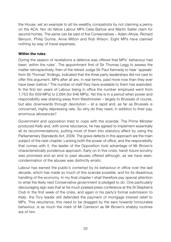the House, set an example to all his wealthy compatriots by not claiming a penny on the ACA. Nor do fellow Labour MPs Celia Barlow and Martin Salter claim for second homes. The same can be said of five Conservatives – Adam Afriyie, Richard Benyon, Philip Dunne, Anne Milton and Rob Wilson. Eight MPs have claimed nothing by way of travel expenses.

#### Within the rules

During the season of revelations a defence was offered that MPs' behaviour had been 'within the rules'. The appointment first of Sir Thomas Legg to assess the matter retrospectively, then of the retired Judge Sir Paul Kennedy to hear 'appeals' from Sir Thomas' findings, indicated that the three party leaderships did not care to offer this argument. MPs after all are, in real terms, paid more now than they ever have been before.<sup>8</sup> The number of staff they have available to them has exploded. In the first ten years of Labour being in office the number employed went from 1,753 (for 659 MPs) to 2,694 (for 646 MPs). Yet this is in a period when power and responsibility was draining away from Westminster – largely to Brussels of course, but also downwards through devolution – at a rapid and, as far as Brussels is concerned, highly depressing rate. So why do they need, in addition to their pay, enormous allowances?

Government and opposition tried to cope with the scandal. The Prime Minister produced *Kelly* and, with some reluctance, he has agreed to implement essentially all its recommendations, putting most of them into statutory effect by using the Parliamentary Standards Act, 2009. The grave defects in this approach are the main subject of the next chapter. Lacking both the power of office, and the responsibility that comes with it, the leader of the Opposition took advantage of Mr Brown's characteristically ponderous approach. Early on in this crisis, harsh *future* scrutiny was promised and an end to past abuses offered although, as we have seen, condemnation of the abuses was distinctly erratic.

Labour has earned the public's contempt by its behaviour in office over the last decade, which has made so much of this scandal possible, and for its disastrous handling of the economy. In my final chapter I shall therefore pay special attention to what the likely next Conservative government is pledged to do. One particularly discouraging sign was that at his much praised press conference at the St Stephen's Club in the first week of the crisis, and again in his party's formal submission to *Kelly*, the Tory leader still defended the payment of mortgage interest relief to MPs. This reluctance, this need to be dragged by the ears towards honourable behaviour, is as much the mark of Mr Cameron as Mr Brown's shabby routines are of him.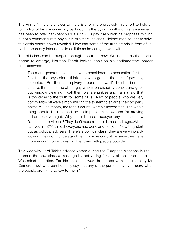The Prime Minister's answer to the crisis, or more precisely, his effort to hold on to control of his parliamentary party during the dying months of his government, has been to offer backbench MPs a £3,000 pay rise which he proposes to fund out of a commensurate pay cut in ministers' salaries. Neither man sought to solve this crisis before it was revealed. Now that some of the truth stands in front of us, each apparently intends to do as little as he can get away with.

The old class can be pungent enough about the new. Writing just as the stories began to emerge, Norman Tebbit looked back on his parliamentary career and observed:

The more generous expenses were considered compensation for the fact that the boys didn't think they were getting the sort of pay they expected...But there's a spivery around it now. It's like the benefits culture. It reminds me of the guy who is on disability benefit and goes out window cleaning. I call them welfare junkies and I am afraid that is too close to the truth for some MPs...A lot of people who are very comfortably off were simply milking the system to enlarge their property portfolio. The moats, the tennis courts, weren't necessities. The whole thing should be replaced by a simple daily allowance for staying in London overnight. Why should I as a taxpayer pay for their new flat-screen televisions? They don't need all these lamps and rugs...When I arrived in 1970 almost everyone had done another job...Now they start out as political advisers. There's a political class, they are very inwardlooking, they don't understand life. It is more corrupt because they have more in common with each other than with people outside.<sup>9</sup>

This was why Lord Tebbit advised voters during the European elections in 2009 to send the new class a message by not voting for any of the three complicit Westminster parties. For his pains, he was threatened with expulsion by Mr Cameron, but who can honestly say that any of the parties have yet heard what the people are trying to say to them?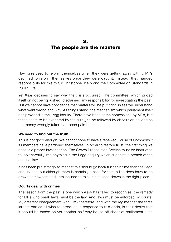# 3. The people are the masters

Having refused to reform themselves when they were getting away with it, MPs declined to reform themselves once they were caught. Instead, they handed responsibility for this to Sir Christopher Kelly and the Committee on Standards in Public Life.

Yet *Kelly* declines to say why the crisis occurred. The committee, which prided itself on not being rushed, disclaimed any responsibility for investigating the past. But we cannot have confidence that matters will be put right unless we understand what went wrong and why. As things stand, the mechanism which parliament itself has provided is the Legg inquiry. There have been some confessions by MPs, but these seem to be expected by the guilty, to be followed by absolution as long as the money wrongly taken had been paid back.

#### We need to find out the truth

This is not good enough. We cannot hope to have a renewed House of Commons if its members have pardoned themselves. In order to restore trust, the first thing we need is a proper investigation. The Crown Prosecution Service must be instructed to look carefully into anything in the Legg enquiry which suggests a breach of the criminal law.

It has been put strongly to me that this should go back further in time than the Legg enquiry has, but although there is certainly a case for that, a line does have to be drawn somewhere and I am inclined to think it has been drawn in the right place.

#### Courts deal with crimes

The lesson from the past is one which *Kelly* has failed to recognise: the remedy for MPs who break laws must be the law. And laws must be enforced by courts. My greatest disagreement with *Kelly* therefore, and with the regime that the three largest parties all wish to introduce in response to this crisis, is their desire that it should be based on yet another half-way house off-shoot of parliament such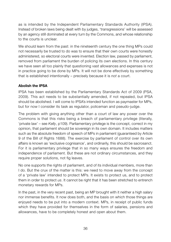as is intended by the Independent Parliamentary Standards Authority (IPSA). Instead of broken laws being dealt with by judges, 'transgressions' will be assessed by an agency still dominated at every turn by the Commons, and whose relationship to the courts is unclear.

We should learn from the past: in the nineteenth century the one thing MPs could not necessarily be trusted to do was to ensure that their own courts were honestly administered, so electoral courts were invented. Election law, passed by parliament, removed from parliament the burden of policing its own elections. In this century we have seen all too plainly that questioning vast allowances and expenses is not in practice going to be done by MPs. It will not be done effectively by something that is established intentionally – precisely because it is *not* a court.

# Abolish the IPSA

IPSA has been established by the Parliamentary Standards Act of 2009 (PSA, 2009). This act needs to be substantially amended, if not repealed, but IPSA should be abolished. I will come to IPSA's intended function as paymaster for MPs, but for now I consider its task as regulator, policeman and pseudo-judge.

The problem with giving anything other than a court of law any power over the Commons is that this risks being a breach of parliamentary privilege (literally, 'private law' – see *Kelly*, p109). Parliamentary privilege is the concept, correct in my opinion, that parliament should be sovereign in its own domain. It includes matters such as the absolute freedom of speech of MPs in parliament (guaranteed by Article 9 of the Bill of Rights 1688). The exercise by parliament of control over its own affairs is known as 'exclusive cognisance', and ordinarily, this should be sacrosanct. For it is parliamentary privilege that in so many ways ensures the freedom and independence of parliament. But these are not ordinary circumstances, and they require proper solutions, not fig leaves.

No one supports the rights of parliament, and of its individual members, more than I do. But the crux of the matter is this: we need to move away from the concept of a 'private law' intended to protect MPs. It exists to protect us, and to protect them in order to protect *us*. It cannot be right that it has been stretched to entrench monetary rewards for MPs.

In the past, in the very recent past, being an MP brought with it neither a high salary nor immense benefits. It now does both, and the basis on which those things are enjoyed needs to be put into a modern context. MPs, in receipt of public funds which they have provided for themselves in the form of salaries, pensions and allowances, have to be completely honest and open about them.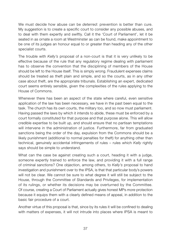We must decide how abuse can be *deterred*: prevention is better than cure. My suggestion is to create a specific court to consider any possible abuses, and to deal with them expertly and swiftly. Call it the 'Court of Parliament', let it be seated in as ornate a room at Westminster as can be found, make appointment to be one of its judges an honour equal to or greater than heading any of the other specialist courts.

The trouble with *Kelly's* proposal of a non-court is that it is very unlikely to be effective because of the rule that any regulatory regime dealing with parliament has to observe the convention that the disciplining of members of the House should be left to the House itself. This is simply wrong. Fraudulent expenses claims should be treated as theft plain and simple, and so the courts, as in any other case about theft, are the appropriate tribunals. Establishing an expert, dedicated court seems entirely sensible, given the complexities of the rules applying to the House of Commons.

Whenever there has been an aspect of the state where careful, even sensitive application of the law has been necessary, we have in the past been equal to the task. The church has its own courts, the military too, and so now must parliament. Having passed the laws by which it intends to abide, these must be enforced by a court formally constituted for that purpose and that purpose alone. This will allow credible expertise to be built up, and should ensure that no partisan temptations will intervene in the administration of justice. Furthermore, far from graduated sanctions being the order of the day, expulsion from the Commons should be a likely punishment (additional to normal penalties for theft) for anything other than technical, genuinely accidental infringements of rules – rules which *Kelly* rightly says should be simple to understand.

What can the case be against creating such a court, heading it with a judge, someone expertly trained to enforce the law, and providing it with a full range of criminal sanctions? One objection, among others, to *Kelly's* proposal to hand investigation and punishment over to the IPSA, is that that particular body's powers will not be clear. We cannot be sure to what degree it will still be subject to the House, through the Committee of Standards and Privileges, for implementation of its rulings, or whether its decisions may be overturned by the Committee. Of course, creating a Court of Parliament actually gives honest MPs *more* protection because it equips them with a clearly defined means of appeal, in addition to the basic fair procedure of a court.

Another virtue of this proposal is that, since by its rules it will be confined to dealing with matters of expenses, it will not intrude into places where IPSA is meant to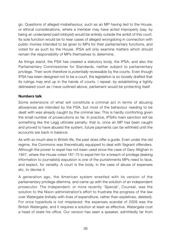go. Questions of alleged misbehaviour, such as an MP having lied to the House, or ethical considerations, where a member may have acted improperly (say, by being an undeclared paid lobbyist) would be entirely outside the ambit of this court. Its sole function would be to hear cases of alleged wrongdoing in connection with public monies intended to be given to MPs for their parliamentary functions, and voted for as such by the House. IPSA will only examine matters which should remain the responsibility of MPs themselves to determine.

As things stand, the PSA has created a statutory body, the IPSA, and also the Parliamentary Commissioner for Standards, neither subject to parliamentary privilege. Their work therefore is *potentially* reviewable by the courts. Even though IPSA has been designed not to be a court, the legislation is so loosely drafted that its rulings may end up in the hands of courts. I repeat: by establishing a tightly delineated court as I have outlined above, parliament would be protecting itself.

# Numbers talk

Some extensions of what will constitute a criminal act in terms of abusing allowances are intended by the PSA, but most of the behaviour needing to be dealt with was already caught by the criminal law. This is hardly comforting given the small number of prosecutions so far. In practice, IPSA's main sanction will be something like the Legg ultimate penalty: that is, once an MP has been caught and proved to have abused the system, future payments can be withheld until the accounts are back in balance.

As with so much else in British life, the past does offer a guide. Even under the old regime, the Commons was theoretically equipped to deal with flagrant offenders. Although the power to expel has not been used since the case of Gary Allighan in 1947, where the House voted 187-75 to expel him for a breach of privilege (leaking information to journalists) expulsion is one of the punishments MPs need to face, and expect, for venality. A court is the body, in the case of abuse of expenses etc, to decree it.

A generation ago, the American system wrestled with its version of the parliamentary privilege dilemma, and came up with the solution of an independent prosecutor. The Independent, or more recently 'Special', Counsel, was the solution to the Nixon administration's effort to frustrate the progress of the law over Watergate (initially with lines of expenditure, rather than expletives, deleted). For once hyperbole is not misplaced: the expenses scandal of 2009 was the British Watergate, and it requires a solution at least as effective. Watergate cost a head of state his office. Our version has seen a speaker, admittedly far from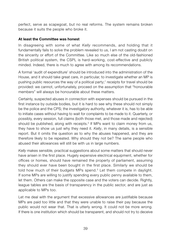perfect, serve as scapegoat, but no real reforms. The system remains broken because it suits the people who broke it.

## At least the Committee was honest

In disagreeing with some of what *Kelly* recommends, and holding that it fundamentally fails to solve the problem revealed to us, I am not casting doubt on the sincerity or effort of the Committee. Like so much else of the old-fashioned British political system, the CSPL is hard-working, cost-effective and publicly minded. Indeed, there is much to agree with among its recommendations.

A formal 'audit of expenditure' should be introduced into the administration of the House, and it should take great care, in particular, to investigate whether an MP is pushing public resources the way of a political party;1 receipts for travel should be provided: we cannot, unfortunately, proceed on the assumption that "honourable members" will always be honourable about these matters.

Certainly, suspected abuses in connection with expenses should be pursued in the first instance by outside bodies, but it is hard to see why these should not simply be the police and the CPS; the investigatory authority, whatever it is, has to be able to initiate cases without having to wait for complaints to be made to it. Quarterly, or possibly, every session, full claims (both those met, and those made and rejected) should be published, along with receipts.<sup>2</sup> If MPs want to claim money from us, they have to show us just why they need it. *Kelly*, in many details, is a sensible report. But it omits the question as to why the abuses happened, and they are therefore likely to be repeated. Why should they not be? The same people who abused their allowances will still be with us in large numbers.

*Kelly* makes sensible, practical suggestions about some matters that should never have arisen in the first place. Hugely expensive electrical equipment, whether for offices or homes, should have remained the property of parliament, assuming they should ever have been bought in the first place. Similarly we should be told how much of their budgets MPs spend.<sup>3</sup> Let them compete in daylight. If some MPs are willing to justify spending every public penny available to them, let them. Others can make the opposite case and the voters can decide. Rightly, league tables are the basis of transparency in the public sector, and are just as applicable to MPs too.

Let me deal with the argument that excessive allowances are justifiable because MPs are paid too little and that they were unable to raise their pay because the public would not wear that. That is utterly wrong. It could not be more wrong. If there is one institution which should be transparent, and should not try to deceive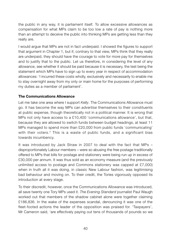the public in any way, it is parliament itself. To allow excessive allowances as compensation for what MPs claim to be too low a rate of pay is nothing more than an attempt to deceive the public into thinking MPs are getting less than they really are.

I would argue that MPs are not in fact underpaid. I showed the figures to support that argument in Chapter 1, but if, contrary to that view, MPs think that they really are underpaid, they should have the courage to vote for more pay for themselves and to justify that to the public. Let us therefore, in considering the level of any allowance, see whether it should be paid because it is necessary, the test being the statement which MPs have to sign up to every year in respect of accommodation allowances: 'I incurred these costs wholly, exclusively and necessarily to enable me to stay overnight away from my only or main home for the purposes of performing my duties as a member of parliament'.

# The Communications Allowance

Let me take one area where I support *Kelly*. The Communications Allowance must go. It has become the way MPs can *advertise* themselves to their constituents at public expense, though theoretically not in a political manner. It is wrong that MPs not only have access to a £10,400 'communications allowance', but that, because they are allowed to switch funds between budget headings, at least 11 MPs managed to spend more than £20,000 from public funds 'communicating' with their voters.<sup>4</sup> This is a waste of public funds, and a significant bias towards incumbency.

It was introduced by Jack Straw in 2007 to deal with the fact that MPs – disproportionately Labour members – were so abusing the free postage traditionally offered to MPs that bills for postage and stationery were being run up in excess of £30,000 per annum. It was thus sold as an economy measure (and the previously unlimited access to postage and Commons stationery was capped at £7,000) when in truth all it was doing, in classic New Labour fashion, was legitimising bad behaviour and moving on. To their credit, the Tories vigorously opposed its introduction at every stage.

To their discredit, however, once the Communications Allowance was introduced, all save twenty one Tory MPs used it. *The Evening Standard* journalist Paul Waugh worked out that members of the shadow cabinet alone were together claiming £186,836. In the wake of the expenses scandal, denouncing it was one of the fleet-footed actions the leader of the opposition was praised for. 'Taxpayers', Mr Cameron said, 'are effectively paying out tens of thousands of pounds so we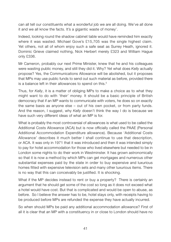can all tell our constituents what a wonderful job we are all doing. We've all done it and we all know the facts. It's a gigantic waste of money'.

Indeed, looking round the shadow cabinet table would have reminded him exactly where it was wasted. Michael Gove's £15,705 was the single highest claim. Yet others, not all of whom enjoy such a safe seat as Surrey Heath, ignored it. Dominic Grieve claimed nothing, Nick Herbert merely £323 and William Hague only £336.

Mr Cameron, probably our next Prime Minister, knew that he and his colleagues were wasting public money, and still they did it. Why? Yet what does *Kelly* actually propose? Yes, the Communications Allowance will be abolished, but it proposes that MPs may use public funds to send out such material as before, provided there is a balance left in their allowances to spend on this. $5$ 

Thus, for *Kelly*, it is a matter of obliging MPs to make a choice as to what they might want to do with 'their' money. It should be a basic principle of British democracy that if an MP wants to communicate with voters, he does so on exactly the same basis as anyone else – out of his own pocket, or from party funds. And the reason, I suggest, why *Kelly* doesn't think the way I do is because we have such very different ideas of what an MP is for.

What is probably the most controversial of allowances is what used to be called the Additional Costs Allowance (ACA) but is now officially called the PAAE (Personal Additional Accommodation Expenditure allowance). Because 'Additional Costs Allowance' describes it much better I shall continue to use that description, or ACA. It was only in 1971 that it was introduced and then it was intended simply to pay for hotel accommodation for those who lived elsewhere but needed to be in London some nights to do their work in Westminster. It has grown astronomically so that it is now a method by which MPs can get mortgages and numerous other substantial expenses paid by the state in order to buy expensive and luxurious homes fitted with expensive television sets and many other luxurious items. There is no way that this can conceivably be justified. It is shocking.

What if the MP decides instead to rent or buy a property? There is certainly an argument that he should get some of the cost so long as it does not exceed what a hotel would have cost. But that is complicated and would be open to abuse, as before. So I believe the answer has to be, hotel stays only, with receipts having to be produced before MPs are refunded the expense they have actually incurred.

So when should MPs be paid any additional accommodation allowance? First of all it is clear that an MP with a constituency in or close to London should have no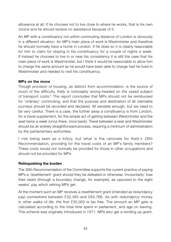allowance at all. If he chooses not to live close to where he works, that is his own choice and he should receive no assistance because of it.

An MP with a constituency not within commuting distance of London is obviously in a different situation. An MP's main place of work is Westminster and therefore he should normally have a home in London. If he does so it is clearly reasonable for him to claim for staying in his constituency for a couple of nights a week. If instead he chooses to live in or near his consistency it is still the case that his main place of work is Westminster, but I think it would be reasonable to allow him to charge the same amount as he would have been able to charge had he lived in Westminster and needed to visit his constituency.

### MPs on the move

Though provision of housing, as distinct from accommodation, is the source of much of the difficulty, *Kelly* is noticeably wrong-headed on the vexed subject of transport costs.6 The report concludes that MPs should not be reimbursed for 'ordinary' commuting, and that the purpose and destination of all claimable journeys should be recorded and declared. All sensible enough, but we need to be very careful. There is a case, the further away a constituency is from London, for a travel supplement, for the simple act of getting between Westminster and the seat twice a week (once there, once back). Travel between a seat and Westminster should be an entirely straightforward process, requiring a minimum of administration by the parliamentary authorities.

I risk being seen as a killjoy, but what is the rationale for *Kelly's* 28th Recommendation, providing for the travel costs of an MP's family members? These costs would not normally be provided for those in other occupations and should not be provided for MPs.

### Relinquishing the burden

The 30th Recommendation of the Committee supports the current practice of paying MPs a 'resettlement' grant should they be defeated or otherwise 'involuntarily' lose their seats (through a boundary change, for example), as opposed to the eight weeks' pay which retiring MPs get.

At the moment such an MP receives a resettlement grant (intended as redundancy pay) somewhere between £32,383 and £64,766. As with redundancy money in other walks of life, the first £30,000 is tax free. The amount an MP gets is calculated according to the total time spent in parliament, and age on leaving. This scheme was originally introduced in 1971. MPs *also* get a winding up grant,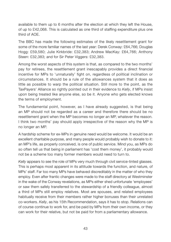available to them up to 6 months after the election at which they left the House, of up to £42,068. This is calculated as one third of staffing expenditure plus one third of AOE.

The BBC has made the following estimates of the likely resettlement grant for some of the more familiar names of the last year: Derek Conway: £64,766; Douglas Hogg: £59,580; Julie Kirkbride: £32,383; Andrew MacKay: £64,766; Anthony Steen: £32,383; and for Sir Peter Viggers: £32,383.

Among the worst aspects of this system is that, as compared to the two months' pay for retirees, the resettlement grant inescapably provides a direct financial incentive for MPs to 'unnaturally' fight on, regardless of political inclination or circumstances. It should be a rule of the allowances system that it does as little as possible to warp the political situation. Still more to the point, as the TaxPayers' Alliance so rightly pointed out in their evidence to *Kelly*, if MPs insist upon being treated like anyone else, so be it. Anyone who gets elected knows the terms of employment.

The fundamental point, however, as I have already suggested, is that being an MP should not be regarded as a career and therefore there should be no resettlement grant when the MP becomes no longer an MP, whatever the reason. I think two months' pay should apply irrespective of the reason why the MP is no longer an MP.

A hardship scheme for ex-MPs in genuine need would be welcome. It would be an excellent charitable purpose, and many people would probably wish to donate to it: an MP's life, as properly conceived, is one of public service. Mind you, as MPs do so often tell us that being in parliament has 'cost them money', it probably would not be a scheme too many former members would need to turn to.

*Kelly* appears to see the role of MPs very much through civil service-tinted glasses. This is perhaps most apparent in its attitude towards the function, and nature, of MPs' staff. Far too many MPs have behaved discreditably in the matter of who they employ. Even after frantic changes were made to the staff directory at Westminster in the wake of the Conway revelations, as MPs either shed unfortunate 'employees' or saw them safely transferred to the stewardship of a friendly colleague, almost a third of MPs still employ relatives. Most are spouses, and related employees habitually receive from their members rather higher bonuses than their unrelated co-workers. *Kelly*, as his 15th Recommendation, says it has to stop. Relations can of course continue to work for, and be paid by MPs from their own income, or they can work for their relative, but not be paid for from a parliamentary allowance.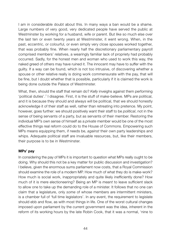I am in considerable doubt about this. In many ways a ban would be a shame. Large numbers of very good, very dedicated people have served the public at Westminster by working for a husband, wife or parent. But like so much else over the last ten or even twenty years at Westminster, it went wrong. When, in the past, eccentric, or colourful, or even simply very close spouses worked together, that was probably fine. When nearly half the discretionary parliamentary payroll comprised members' relatives, a wearingly familiar lack of propriety had probably occurred. Sadly, for the honest men and woman who used to work this way, the naked greed of others may have ruined it. The innocent may have to suffer with the guilty. If a way can be found, which is not too intrusive, of discovering whether a spouse or other relative really is doing work commensurate with the pay, that will be fine, but I doubt whether that is possible, particularly if it is claimed the work is being done outside the Palace of Westminster.

What, then, should the staff that remain do? *Kelly* inveighs against them performing 'political duties'.7 I disagree. First, it is the stuff of make-believe. MPs *are* political, and it is because they should and always will be political, that we should honestly acknowledge it of their staff as well, rather than retreating into pretence. My point, however, goes further: we should positively want their staff to be *political*, not in the sense of being servants of a party, but as servants of their member. Restoring the individual MP's own sense of himself as a *private* member would be one of the most effective things real reform could do to the House of Commons. Empowering such MPs means equipping them, if needs be, *against* their own party leaderships and whips. Adequate political staff are invaluable resources, but, like their members, their purpose is to be in Westminster.

# MPs' pay

In considering the pay of MPs it is important to question what MPs really ought to be doing. Why should this not be a key matter for public discussion and investigation? I believe, given the enormous sums parliament now costs, that a Royal Commission should examine the role of a modern MP. How much of what they do is make-work? How much is social work, inappropriately and quite likely inefficiently done? How much of it is mere electioneering? Being an MP is *meant* to leave sufficient slack to allow one to take up the demanding role of a minister. It follows that no one can claim that a legislature, only *some* of whose members are intermittent ministers, is a chamber full of 'full time legislators'. In any event, the requirement to legislate should ebb and flow, as with most things in life. One of the worst cultural changes imposed upon parliament by the current government was the idea, inherent in the reform of its working hours by the late Robin Cook, that it was a normal, 'nine to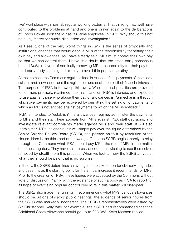five' workplace with normal, regular working patterns. That thinking may well have contributed to the problems at hand and one is drawn again to the deliberations of Enoch Powell upon the MP as 'full-time employee' in 1971. Why should this not be a key matter for public discussion and investigation?

As I see it, one of the very worst things in *Kelly* is the series of proposals and institutional changes that would deprive MPs of the responsibility for setting their own pay and allowances. As I have already said, MPs must control their own pay so that we can control them. I have little doubt that the cross-party consensus behind *Kelly,* in favour of nominally removing MPs' responsibility for their pay to a third party body, is designed exactly to avoid this popular scrutiny.

At the moment, the Commons regulates itself in respect of the payments of members' salaries and allowances, and the registration and declaration of their financial interests. The purpose of IPSA is to sweep this away. While criminal penalties are provided for, or more precisely, reaffirmed, the main sanction IPSA is intended and expected to use against those who abuse their pay or allowances is, 'a mechanism through which overpayments may be recovered by permitting the setting off of payments to which an MP is not entitled against payments to which the MP is entitled'.<sup>8</sup>

IPSA is intended to 'establish' the allowances' regime, administer the payments to MPs and their staff, hear appeals from MPs against IPSA staff decisions, and investigate relevant complaints made against MPs and their staff. It will also 'administer' MPs' salaries but it will simply pay over the figure determined by the Senior Salaries Review Board (SSRB), and passed on to it by resolution of the House. Here is the thick end of the wedge. Once the SSRB begins merely to relay through the Commons what IPSA should pay MPs, the role of MPs in the matter becomes nugatory. They have an interest, of course, in wishing to see themselves removed by stealth from this process. When we look at how the SSRB arrives at what they should be paid, that is no surprise.

In theory, the SSRB determines an average of a basket of senior civil service grades and uses this as the starting point for the annual increase it recommends for MPs. Prior to the creation of IPSA, these figures were accepted by the Commons without vote or discussion. Plainly, with the existence of such a body as IPSA to report to, all hope of exercising popular control over MPs in this matter will disappear.

The SSRB also made the running in recommending what MPs' various allowances should be. At one of *Kelly's* public hearings, the evidence of senior figures from the SSRB was markedly incoherent. The SSRB's representatives were asked by Sir Christopher Kelly why, for example, the SSRB had recommended that the Additional Costs Allowance should go up to £23,083. Keith Masson replied: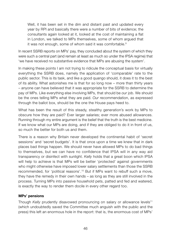Well, it has been set in the dim and distant past and updated every year by RPI and basically there were a number of bits of evidence; the consultants again looked at it, looked at the cost of maintaining a flat in London, we talked to MPs themselves, some of whom argued that it was not enough, some of whom said it was comfortable.<sup>9</sup>

In recent SSRB reports on MPs' pay, they concluded about the system of which they were such a central part (and remain at least as much so under the IPSA regime) that 'we have received no substantive evidence that MPs are abusing the system'.

In making these points I am not trying to ridicule the conceptual basis for virtually everything the SSRB does, namely the application of 'comparable' rate to the public sector. This is its task, and like a good quango should, it does it to the best of its ability. What astonishes me is that for so long now – more than thirty years – anyone can have believed that it was appropriate for the SSRB to determine the pay of MPs. Like everything else involving MPs, that should be *our* job. We should be the ones telling MPs what they are paid. *Our* recommendation, as expressed through the ballot box, should be the one the House pays heed to.

What has been the result of this steady, stealthy generation's work by MPs to obscure how they are paid? Ever larger salaries; ever more abused allowances. Running through my entire argument is the belief that the truth is the best medicine. If we know what our MPs are doing, and if they are obliged to do it in front of us, so much the better for both us and them.

There is a reason why Britain never developed the continental habit of 'secret sessions' and 'secret budgets'. It is that once upon a time we knew that in dark places bad things happen. We should never have allowed MPs to do bad things to themselves, but we can have no confidence that IPSA will in any way aid transparency or disinfect with sunlight. *Kelly* holds that a great boon which IPSA will help to achieve is that MPs will be better 'protected' against governments who might otherwise have imposed lower salary settlements than those the SSRB recommended, for 'political reasons'.<sup>10</sup> But if MPs want to rebuff such a move, they have the remedy in their own hands – as long as they are still involved in the process. Turning MPs into passive household pets, patted and fed and watered, is exactly the way to render them docile in every other regard too.

### MPs' pensions

Though *Kelly* prudently disavowed pronouncing on salary or allowance levels<sup>11</sup> (which undoubtedly saved the Committee much anguish with the public and the press) this left an enormous hole in the report: that is, the enormous cost of MPs'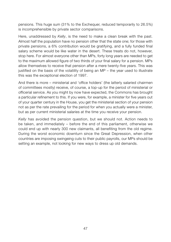pensions. This huge sum (31% to the Exchequer, reduced temporarily to 26.5%) is incomprehensible by private sector comparisons.

Here, unaddressed by *Kelly*, is the need to make a clean break with the past. Almost half the population have no pension other that the state one; for those with private pensions, a 6% contribution would be gratifying, and a fully funded final salary scheme would be like water in the desert. These treats do not, however, stop here. For almost everyone other than MPs, forty long years are needed to get to the maximum allowed figure of two thirds of your final salary for a pension. MPs allow themselves to receive that pension after a mere twenty-five years. This was justified on the basis of the volatility of being an MP – the year used to illustrate this was the exceptional election of 1997.

And there is more – ministerial and 'office holders' (the latterly salaried chairmen of committees mostly) receive, of course, a top-up for the period of ministerial or officerial service. As you might by now have expected, the Commons has brought a particular refinement to this. If you were, for example, a minister for five years out of your quarter century in the House, you get the ministerial section of your pension not as per the rate prevailing for the period for when you actually were a minister, but as per current ministerial salaries at the time you receive your pension.

*Kelly* has avoided the pension question, but we should not. Action needs to be taken, and immediately – before the end of this parliament, otherwise we could end up with nearly 300 new claimants, all benefiting from the old regime. During the worst economic downturn since the Great Depression, when other countries are imposing swingeing cuts to their public payrolls, our MPs should be setting an example, not looking for new ways to dress up old demands.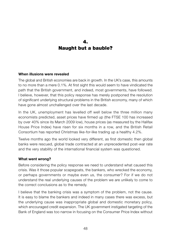# 4. Naught but a bauble?

#### When illusions were revealed

The global and British economies are back in growth. In the UK's case, this amounts to no more than a mere 0.1%. At first sight this would seem to have vindicated the path that the British government, and indeed, most governments, have followed. I believe, however, that this policy response has merely postponed the resolution of significant underlying structural problems in the British economy, many of which have gone almost unchallenged over the last decade.

In the UK, unemployment has levelled off well below the three million many economists predicted, asset prices have firmed up (the FTSE 100 has increased by over 40% since its March 2009 low), house prices (as measured by the Halifax House Price Index) have risen for six months in a row, and the British Retail Consortium has reported Christmas like-for-like trading up a healthy 4.2%.

Twelve months ago the world looked very different, as first domestic then global banks were rescued, global trade contracted at an unprecedented post-war rate and the very stability of the international financial system was questioned.

#### What went wrong?

Before considering the policy response we need to understand what caused this crisis. Was it those popular scapegoats, the bankers, who wrecked the economy, or perhaps governments or maybe even us, the consumer? For if we do not understand the real underlying causes of the problem we are unlikely to come to the correct conclusions as to the remedy.

I believe that the banking crisis was a symptom of the problem, not the cause. It is easy to blame the bankers and indeed in many cases there was excess, but the underlying cause was inappropriate global and domestic monetary policy, which encouraged credit expansion. The UK government instigated targeting of the Bank of England was too narrow in focusing on the Consumer Price Index without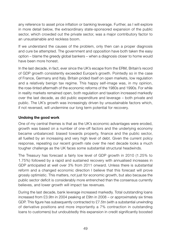any reference to asset price inflation or banking leverage. Further, as I will explore in more detail below, the extraordinary state-sponsored expansion of the public sector, which crowded out the private sector, was a major contributory factor to an unsustainable and reckless boom.

If we understand the causes of the problem, only then can a proper diagnosis and cure be attempted. The government and opposition have both taken the easy option – blame the greedy global bankers – when a diagnosis closer to home would have been more honest.

In the last decade, in fact, ever since the UK's escape from the ERM, Britain's record of GDP growth consistently exceeded Europe's growth. Pointedly so in the case of France, Germany and Italy. Britain prided itself on open markets, low regulation and a relatively benign tax regime. This happy self-image was, in my opinion, the rose-tinted aftermath of the economic reforms of the 1980s and 1990s. For while in reality markets remained open, both regulation and taxation increased markedly over the last decade, as did public expenditure and leverage – both private and public. The UK's growth was increasingly driven by unsustainable factors which, if not reversed, will undermine our long term potential for recovery.

# Undoing the good work

One of my central themes is that as the UK's economic advantages were eroded, growth was based on a number of one-off factors and the underlying economy became unbalanced: biased towards property, finance and the public sector, all fuelled by an increasing and very high level of debt. Given the current policy response, repeating our recent growth rate over the next decade looks a much tougher challenge as the UK faces some substantial structural headwinds.

The Treasury has forecast a fairly low level of GDP growth in 2010 (1.25% to 1.75%) followed by a rapid and sustained recovery with annualised increases in GDP anticipated at well over 3% from 2011 onward. Unless there is substantial reform and a changed economic direction I believe that this forecast will prove grossly optimistic. This matters, not just for economic growth, but also because the public sector deficit is considerably more entrenched than the consensus currently believes, and lower growth will impact tax revenues.

During the last decade, bank leverage increased markedly. Total outstanding loans increased from £3.9tn in 2004 peaking at £9tn in 2008 – or approximately six times GDP. This figure has subsequently contracted to £7.5tn (with a substantial unwinding of derivative positions and more importantly a 7% contraction in outstanding loans to customers) but undoubtedly this expansion in credit significantly boosted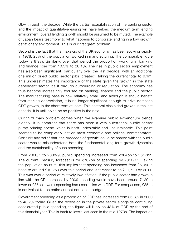GDP through the decade. While the partial recapitalisation of the banking sector and the impact of quantitative easing will have helped the medium term lending environment, overall lending growth should be assumed to be muted. The example of Japan bears testimony to what happens to corporate lending in a low growth, deflationary environment. This is our first great problem.

Second is the fact that the make-up of the UK economy has been evolving rapidly. In 1978, 26% of the population worked in manufacturing. The comparable figure today is 8.9%. Similarly, over that period the proportion working in banking and finance rose from 10.5% to 20.1%. The rise in public sector employment has also been significant, particularly over the last decade, with an additional one million direct public sector jobs 'created', taking the current total to 6.1m. This underestimates the importance of the state given the growth in the state dependent sector, be it through outsourcing or regulation. The economy has thus become increasingly focused on banking, finance and the public sector. The manufacturing base is now relatively small, and although it should benefit from sterling depreciation, it is no longer significant enough to drive domestic GDP growth, in the short term at least. This sectoral bias aided growth in the last decade. It is unlikely to be so positive in the next.

Our third main problem comes when we examine public expenditure trends closely. It is apparent that there has been a very substantial public sector pump-priming spend which is both undesirable and unsustainable. This point seemed to be completely lost on most economic and political commentators. Certainly any belief that 'the proceeds of growth' could be shared with the public sector was to misunderstand both the fundamental long term growth dynamics and the sustainability of such spending.

From 2000/1 to 2008/9, public spending increased from £364bn to £617bn. The current Treasury forecast is for £702bn of spending by 2010/11. Taking the population as 60m, this implies that spending has increased from £6,050 a head to around £10,250 over this period and is forecast to be £11,700 by 2011. This was over a period of relatively low inflation. If the public sector had grown in line with the CPI increase, by 2009 spending would have been around £120bn lower or £85bn lower if spending had risen in line with GDP. For comparison, £85bn is equivalent to the entire current education budget.

Government spending as a proportion of GDP has increased from 36.8% in 2000 to 43.2% today. Given the recession in the private sector alongside continuing accelerated public spending, the figure will likely be 48% of GDP by the end of this financial year. This is back to levels last seen in the mid 1970s. The impact on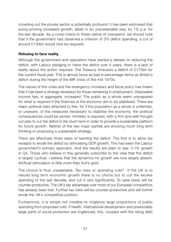crowding out the private sector is potentially profound. It has been estimated that pump-priming increased growth, albeit in an unsustainable way, by 1% p.a. for the last decade. As a cross-check to these claims of overspend, we should note that if the government had observed a criterion of 3% deficit spending, a cut of around £130bn would now be required.

# Refusing to face reality

Although the government and opposition have started a debate on reducing the deficit, with Labour pledging to halve the deficit over 4 years, there is a lack of reality about the action required. The Treasury forecasts a deficit of £175bn for the current fiscal year. This is almost twice as bad in percentage terms as Britain's deficit during the height of the IMF crisis of the mid 1970s.

The nature of this crisis and the emergency monetary and fiscal policy has meant that it has been a strange recession for those remaining in employment. Disposable income has, in aggregate, increased. The public as a whole seem unprepared for what is required if the finances of the economy are to be stabilised. There are major political risks attached to this, for if the population as a whole is unfamiliar, or unaware, of the measures necessary to stabilise the economy, the political consequences could be severe. Honesty is required, with a firm and well thought out plan to cut the deficit in the short term in order to provide a sustainable platform for future growth. Neither of the two major parties are showing much long term thinking or proposing a sustainable strategy.

There are effectively three ways of tackling the deficit. The first is to allow tax receipts to erode the deficit by stimulating GDP growth. This has been the Labour government's primary approach. And the results are plain to see: 0.1% growth in Q4. Those who believe in this generally subscribe to the view that the deficit is largely cyclical. I believe that the dynamics for growth are now largely absent. Artificial stimulation is little more than fool's gold.

The choice is thus unpalatable. Tax rises or spending cuts? If the UK is to rebuild long term economic growth there is no choice but to cut the excess spending of the last decade, and cut it very significantly. To raise taxes will be counter-productive. The UK's tax advantage over most of our European competitors has already been lost. Further tax rises will be counter-productive and will further erode the UK's competitive position.

Furthermore, it is simply not credible to ringfence large proportions of public spending from proposed cuts. If health, international development and presumably large parts of social protection are ringfenced, this, coupled with the rising debt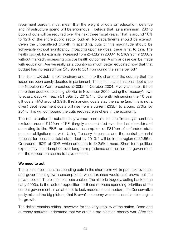repayment burden, must mean that the weight of cuts on education, defence and infrastructure spend will be enormous. I believe that, as a minimum, £60 to 80bn of cuts will be required over the next three fiscal years. That is around 10% to 12% of the entire public sector budget. No departments should be exempt. Given the unparalleled growth in spending, cuts of this magnitude should be achievable without significantly impacting upon services: there is fat to trim. The health budget, for example, increased from £54.2bn in 2000/1 to £109.9bn in 2008/9 without markedly increasing positive health outcomes. A similar case can be made with education. Are we really as a country so much better educated now that that budget has increased from £45.9bn to £81.4bn during the same period?

The rise in UK debt is extraordinary and it is to the shame of the country that the issue has been barely debated in parliament. The accumulated national debt since the Napoleonic Wars breached £400bn in October 2004. Five years later, it had more than doubled reaching £844bn in November 2009. Using the Treasury's own forecast, debt will reach £1.59tn by 2013/14. Currently refinancing the 10 year gilt costs HMG around 3.9%. If refinancing costs stay the same (and this is not a given) debt repayment costs will rise from a current £33bn to around £70bn by 2014. This will compound the cuts required elsewhere in the economy.

The real situation is substantially worse than this, for the Treasury's numbers exclude around £150bn of PFI (largely accumulated over the last decade) and according to the PBR, an actuarial assumption of £810bn of unfunded state pension obligations as well. Using Treasury forecasts, and the central actuarial forecast for pensions, total state debt by 2013/4 will be in the region of £2.55tn. Or around 160% of GDP, which amounts to £42.5k a head. Short term political expediency has triumphed over long term prudence and neither the government nor the opposition seems to have noticed.

### We need to act

There is no free lunch, as spending cuts in the short term will impact tax revenues and government growth assumptions, while tax rises would also crowd out the private sector. There is no painless choice. The historic tragedy, dating back to the early 2000s, is the lack of opposition to these reckless spending priorities of the current government. In an attempt to look moderate and modern, the Conservative party missed the big picture, that Brown's economy was an unsustainable engine for growth.

The deficit remains critical, however, for the very stability of the nation. Bond and currency markets understand that we are in a pre-election phoney war. After the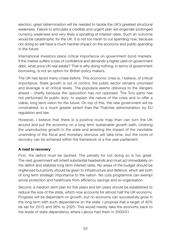election, great determination will be needed to tackle the UK's greatest structural weakness. Failure to articulate a credible and urgent plan will engender prolonged currency weakness and very likely a spiralling of interest rates. Such an outcome would be catastrophic for the UK. It is not too harsh to cut spending now, because not doing so will have a much harsher impact on the economy and public spending in the future.

International investors place critical importance on government bond markets. If the market suffers a loss of confidence and demands a higher yield on government debt, what price UK real estate? That is why doing nothing, in terms of government borrowing, is not an option for British policy makers.

The UK has faced many crises before. This economic crisis is, I believe, of critical importance. State growth is out of control, the public sector remains unionised and leverage is at critical levels. The populace seems oblivious to the dangers ahead – chiefly because the opposition has not opposed. The Tory party has not performed its public duty: to explain the nature of the crisis and to offer a viable, long term vision for the future. On top of this, the new government will be constrained, to a much greater extent than the Thatcher administration, by EU regulation and law.

However, I believe that there is a positive route map than can turn the UK around and put the economy on a long term sustainable growth path. Undoing the unproductive growth in the state and arresting the impact of the inevitable unwinding of the fiscal and monetary stimulus will take time, but the roots of recovery can be achieved within the framework of a five year parliament.

# A road to recovery

First, the deficit must be tackled. The penalty for not doing so is too great. The next government will inherit substantial headwinds and must act immediately on the deficit and stabilise long term interest rates. No areas of the budget should be ringfenced but priority should be given to infrastructure and defence, which are both of long term strategic importance to the nation. No cuts programme can exempt social protection and healthcare from efficiency savings and re-organisation.

Second, a medium term plan for five years and ten years should be established to reduce the size of the state, which now accounts for almost half the UK economy. Progress will be dependent on growth, but no economy can successfully grow in the long term with such dependence on the state. I propose that a target of 40% be set for 2015 and 36% to 2020. This would merely take the economy back to the levels of state dependency where Labour had them in 2000/01.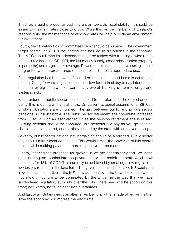Third, as a quid pro quo for outlining a plan towards fiscal stability, it should be easier to maintain rates close to 0.5%. While this will be the Bank of England's responsibility, the maintenance of very low rates will help provide an environment for investment.

Fourth, the Monetary Policy Committee's remit should be widened. The government target of tracking CPI is too narrow and has led to distortions in the economy. The MPC should keep its independence but be tasked with tracking a wide range of measures including CPI, RPI, the M4 money supply, asset price inflation (property in particular) and major bank leverage. Powers to extend quantitative easing should be granted when a broad range of measures indicate its appropriate use.

Fifth, regulation has been overly focused on the minutiae and has missed the big picture. Going forward, regulation should allow for minimal day to day interference but monitor big picture risks, particularly overall banking system leverage and systemic risk.

Sixth, unfunded public sector pensions need to be reformed. The only chance of doing this is during a financial crisis. On current actuarial assumptions, £810bn of state obligations are unfunded. The gap between public and private sector pensions is unsustainable. The public sector retirement age should be increased from 60 to 65 with an escalator to 67 as the pension retirement age is raised. Existing benefits should be honoured, but henceforth a pay-as-you-go scheme should be implemented, and partially funded by the state with employee top-ups.

Seventh, public sector national pay bargaining should be abolished. Public sector pay should mirror local conditions. This would break the power of public sector unions while making pay much more responsive to the market.

Eighth, 'sharing the proceeds for growth' is off the agenda for good. We need a long term plan to stimulate the private sector and shrink the state which now accounts for 48% of GDP. This can only be achieved by creating a low regulation, low tax environment in the long term. The government needs to tackle EU regulation in general and in particular the EU's new authority over the City. The French would not allow viniculture to be dominated by the British in the way that we have surrendered regulatory authority over the City. There needs to be action on this front; not words, nor even cast-iron guarantees.

And last of all, Britain needs an alternative. Being a lighter shade of red will neither save the economy nor impress the electorate.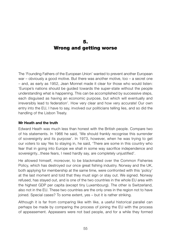# 5. Wrong and getting worse

The 'Founding Fathers of the European Union' wanted to prevent another European war – obviously a good motive. But there was another motive, too – a secret one – and, as early as 1952, Jean Monnet made it clear for those who would listen: 'Europe's nations should be guided towards the super-state without the people understanding what is happening. This can be accomplished by successive steps, each disguised as having an economic purpose, but which will eventually and irreversibly lead to federation'. How very clear and how very accurate! Our own entry into the EU, I have to say, involved our politicians telling lies, and so did the handling of the Lisbon Treaty.

#### Mr Heath and the truth

Edward Heath was much less than honest with the British people. Compare two of his statements. In 1966 he said, 'We should frankly recognise this surrender of sovereignty and its purpose'. In 1973, however, when he was trying to get our voters to say Yes to staying in, he said, 'There are some in this country who fear that in going into Europe we shall in some way sacrifice independence and sovereignty...these fears, I need hardly say, are completely uniustified'.

He allowed himself, moreover, to be blackmailed over the Common Fisheries Policy, which has destroyed our once great fishing industry. Norway and the UK, both applying for membership at the same time, were confronted with this 'policy' at the last moment and told that they must sign or stay out. We signed. Norway refused, has stayed out, and is one of the two countries in the whole EU area with the highest GDP per capita (except tiny Luxembourg). The other is Switzerland, also not in the EU. These two countries are the only ones in the region not to have joined. Special cases? To some extent, yes – but it is rather striking.

Although it is far from comparing like with like, a useful historical parallel can perhaps be made by comparing the process of joining the EU with the process of appeasement. Appeasers were not bad people, and for a while they formed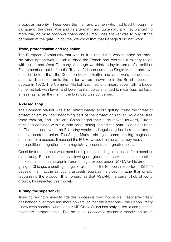a popular majority. These were the men and women who had lived through the carnage of the Great War and its aftermath, and quite naturally they wanted no more war, no more post-war chaos and slump. Their answer was to buy off the barbarian at the gate. Of course, we know that that Danegeld did not work.

## Trade, protectionism and regulation

The European Community that was built in the 1950s was founded on trade. No other option was available, once the French had rebuffed a military union with a rearmed West Germany. Although we think today in terms of a political EU, remember that before the Treaty of Lisbon came the Single Market and, two decades before that, the Common Market. Butter and lamb were the dominant areas of discussion amid the million words thrown up in the British accession debate in 1972. The Common Market was meant to mean, essentially, a bigger home market, with fewer, and lower, tariffs. It was intended to mean less red tape, at least as far as the man in the lorry cab was concerned.

# A closed shop

The Common Market was also, unfortunately, about getting round the threat of protectionism by itself becoming part of the protection racket. As global free trade took off, and India and China began their huge moves forward, Europe remained confined within a tariff zone, hiding behind the sofa. Had it not been for Thatcher and Kohl, the EU today would be languishing inside a bankrupted, autarkic customs union. The Single Market did inject some missing magic and perhaps, for a decade, it rescued the EU. However, it came with a very heavy price: more political integration, extra regulatory burdens, and greater costs.

Consider for a moment what membership of this trading bloc means for a member state today. Rather than simply allowing our goods and services access to other markets, as a manufacturer in Toronto might expect under NAFTA for his products going to Chicago, a bristling hedge of rules funnel the European exporter – 105,000 pages of them, at the last count. Brussels regulates the blueprint rather than simply recognising the product. It is no surprise that ASEAN, the current hub of world growth, has rejected this model.

### Turning the supertanker

Trying to rewind or even to ride this process is now impossible. Treaty after treaty has handed over more and more powers, so that the latest one – the Lisbon Treaty – now even contains what Labour MP Gisela Stuart has aptly called 'a competence to create competences'. This so-called *passerelle* clause is merely the latest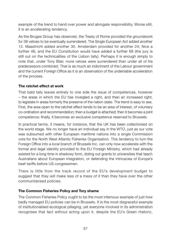example of the trend to hand over power and abrogate responsibility. Worse still, it is an accelerating tendency.

As the Bruges Group has observed, the Treaty of Rome provided the groundwork for 38 vetoes to be eventually surrendered. The Single European Act added another 12. Maastricht added another 30. Amsterdam provided for another 24; Nice a further 46; and the EU Constitution would have added a further 68 (the jury is still out on the technicalities of the Lisbon tally). Perhaps it is enough simply to note that, under Tony Blair, more vetoes were surrendered than under all of his predecessors combined. That is as much an indictment of the Labour government and the current Foreign Office as it is an observation of the undeniable acceleration of the process.

# The ratchet effect at work

That bald tally leaves entirely to one side the issue of competences, however – the areas in which the EU has inveigled a right, and then an increased right, to legislate in areas formerly the preserve of the nation state. The trend is easy to see. First, the area open to the ratchet effect tends to be an area of interest, of voluntary co-ordination and recommendation; then a budget is attached; then it becomes a joint competence; finally, it becomes an exclusive competence reserved to Brussels.

In practical terms, it means, for instance, that the UK has been collectivised on the world stage. We no longer have an individual say in the WTO, just as our vote was subsumed with other European maritime nations into a single Commission vote for the North West Atlantic Fisheries Organisation. This tendency to turn the Foreign Office into a local branch of Brussels Inc. can only now accelerate with the formal and legal identity provided to the EU Foreign Ministry, which had already existed for a long time in shadowy form, doling out grants to universities that teach Australians about European integration, or defending the intricacies of Europe's beef tariffs before US congressmen.

There is little from the track record of the EU's development budget to suggest that they will make less of a mess of it than they have over the other communitarised policies.

# The Common Fisheries Policy and Tory shame

The Common Fisheries Policy ought to be the most infamous example of just how badly managed EU policies can be in Brussels. It is the most disgraceful example of institutionalised ecological pillaging, yet everyone involved in its administration recognises that fact without acting upon it, despite the EU's Green rhetoric.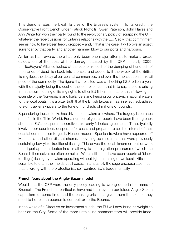This demonstrates the bleak failures of the Brussels system. To its credit, the Conservative Front Bench under Patrick Nicholls, Owen Paterson, John Hayes and Ann Winterton won their party round to the revolutionary policy of scrapping the CFP, whatever the repercussions for Britain's relations with the EU. Sadly, that commitment seems now to have been feebly dropped – and, if that is the case, it will prove an abject surrender by that party, and another hammer blow to our ports and harbours.

As far as I am aware, there has only been one major attempt to make a broad calculation of the cost of the damage caused by the CFP. In early 2009, the TaxPayers' Alliance looked at the economic cost of the dumping of hundreds of thousands of dead fish back into the sea, and added to it the wreck of the British fishing fleet, the decay of our coastal communities, and even the impact upon the retail price of the commodity. The figure that resulted was a shocking £2.8 billion a year, with the majority being the cost of the lost resource – that is to say, the loss arising from the surrendering of fishing rights to other EU fishermen, rather than following the example of the Norwegians and Icelanders and keeping our once-rich national waters for the local boats. It is a bitter truth that the British taxpayer has, in effect, subsidised foreign trawler skippers to the tune of hundreds of millions of pounds.

Squandering these stocks has driven the trawlers elsewhere. The tragedy is perhaps most felt in the Third World. For a number of years, reports have been filtering back about the EU's opaque and secretive third-party fisheries agreements. These typically involve poor countries, desperate for cash, and prepared to sell the interest of their coastal communities to get it. Hence, modern Spanish trawlers have appeared off Mauritania and other distant shores, hoovering up resources that were previously sustaining low-yield traditional fishing. This drives the local fishermen out of work – and perhaps contributes in a small way to the migration pressures of which the Spanish themselves so often complain. Worse still, there have been reports of 'black' (or illegal) fishing by trawlers operating without lights, running down local skiffs in the scramble to cram their holds at all costs. In a nutshell, the saga encapsulates much that is wrong with the protectionist, self-centred EU's trade mentality.

# French fears about the Anglo-Saxon model

Would that the CFP were the only policy leading to wrong done in the name of Brussels. The French, in particular, have had their eye on perfidious Anglo-Saxon capitalism for some time, and the banking crisis has given them the excuse they need to hobble an economic competitor to the Bourse.

In the wake of a Directive on investment funds, the EU will now bring its weight to bear on the City. Some of the more unthinking commentators will provide knee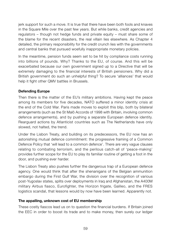jerk support for such a move. It is true that there have been both fools and knaves in the Square Mile over the past few years. But while banks, credit agencies and regulators – though not hedge funds and private equity – must share some of the blame for the recent disasters, the real villain lies elsewhere. As Chapter 4 detailed, the primary responsibility for the credit crunch lies with the governments and central banks that pursued woefully inappropriate monetary policies.

In the meantime, pension funds seem set to be hit by compliance costs running into billions of pounds. Why? Thanks to the EU, of course. And this will be exacerbated because our own government signed up to a Directive that will be extremely damaging to the financial interests of British pensioners. Why did a British government do such an unhelpful thing? To secure 'alliances' that would help it fight other QMV battles in Brussels.

# Defending Europe

Then there is the matter of the EU's military ambitions. Having kept the peace among its members for five decades, NATO suffered a minor identity crisis at the end of the Cold War. Paris made moves to exploit this blip, both by bilateral arrangements (such as the St Malô Accords of 1998 with Britain, involving common defence arrangements), and by pushing a separate European defence identity. Rearguard actions by Atlanticist countries such as The Netherlands have only slowed, not halted, the trend.

Under the Lisbon Treaty, and building on its predecessors, the EU now has an astonishing mutual defence commitment: the progressive framing of a Common Defence Policy that 'will lead to a common defence'. There are very vague clauses relating to combating terrorism, and the perilous catch-all of 'peace-making' provides further scope for the EU to play its familiar routine of getting a foot in the door, and pushing ever harder.

The Lisbon Treaty also pushes further the dangerous trap of a European defence agency. One would think that after the shenanigans of the Belgian ammunition embargo during the First Gulf War, the division over the recognition of various post-Yugoslav states, splits over deployments in Iraq and Afghanistan, the A400M military Airbus fiasco, Eurofighter, the Horizon frigate, Galileo, and the FRES logistics scandal, that lessons would by now have been learned. Apparently not.

### The appalling, unknown cost of EU membership

These costly fiascos lead us on to question the financial burdens. If Britain joined the EEC in order to boost its trade and to make money, then surely our ledger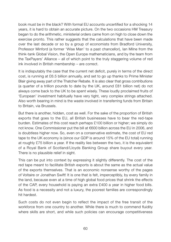book must be in the black? With formal EU accounts uncertified for a shocking 14 years, it is hard to obtain an accurate picture. On the two occasions HM Treasury began to do the arithmetic, ministerial orders came from on high to close down the exercise pronto. This rather suggests that the calculations that have been made over the last decade or so by a group of economists from Bradford University, Professor Minford (a former 'Wise Man' to a past chancellor), Ian Milne from the think-tank Global Vision, the Open Europe mathematicians, and by the team from the TaxPayers' Alliance – all of which point to the truly staggering volume of red ink involved in British membership – are correct.

It is indisputably the case that the current net deficit, purely in terms of the direct cost, is running at £6.5 billion annually, and set to go up thanks to Prime Minister Blair giving away part of the Thatcher Rebate. It is also clear that gross contributions (a quarter of a trillion pounds to date by the UK, around £81 billion net) do not always come back to the UK to be spent wisely. These loudly proclaimed fruits of 'European' investment habitually have very tight, very complex strings attached. Also worth bearing in mind is the waste involved in transferring funds from Britain to Britain, via Brussels.

But there is another, hidden, cost as well. For the sake of the proportion of British exports that goes to the EU, all British businesses have to bear the red-tape burden. Estimates of this cost reach perhaps £100 billion or higher; we simply do not know. One Commissioner put the bill at €600 billion across the EU in 2006, and is doubtless higher now. So, even on a conservative estimate, the cost of EU red tape to the UK economy is (since our GDP is around 15% of the EU total) running at roughly £75 billion a year. If the reality lies between the two, it is the equivalent of a Royal Bank of Scotland/Lloyds Banking Group share buyout every year. There is no plausible relief in sight.

This can be put into context by expressing it slightly differently. The cost of the red tape meant to facilitate British exports is about the same as the actual value of the exports themselves. That is an economic nonsense worthy of the pages of Voltaire or Jonathan Swift! It is one that is felt, imperceptibly, by every family in the land, because even at a time of high global food prices that shrink the effects of the CAP, every household is paying an extra £400 a year in higher food bills. As food is a necessity and not a luxury, the poorest families are correspondingly hit hardest.

Such costs do not even begin to reflect the impact of the free transit of the workforce from one country to another. While there is much to commend fluidity where skills are short, and while such policies can encourage competitiveness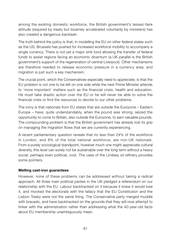among the existing domestic workforce, the British government's laissez-faire attitude (required by treaty but bizarrely accelerated voluntarily by ministers) has also created a dangerous backlash.

The truth behind the policy is that, in modelling the EU on other federal states such as the US, Brussels has pushed for increased workforce mobility to accompany a single currency. There is not yet a major sink fund allowing the transfer of federal funds to assist regions facing an economic downturn (a UK parallel is the British government's support of the regeneration of central Liverpool). Other mechanisms are therefore needed to release economic pressure in a currency area, and migration is just such a key mechanism.

The crucial point, which the Conservatives especially need to appreciate, is that the EU problem is not one to be left on one side while the next Prime Minister attends to 'more important' matters such as the financial crisis, health and education. He must take drastic action over the EU or he will never be able to solve the financial crisis or find the resources to devote to our other problems.

The irony is that nationals from EU states that are outside the Eurozone – Eastern Europe – have, quite understandably, when the pound was strong, seized the opportunity to come to Britain, also outside the Eurozone, to earn valuable pounds. The compounding problem is that the British government has already lost its grip on managing the migration flows that we are currently experiencing.

A recent parliamentary question reveals that no less than 24% of the workforce in London, and 8% of the total national workforce, are non-UK nationals. From a purely sociological standpoint, however much one might appreciate cultural diversity, this level can surely not be sustainable over the long term without a heavy social, perhaps even political, cost. The case of the Lindsey oil refinery provides some pointers.

### Melting cast-iron guarantees

However, none of these problems can be addressed without taking a radical approach. All three main political parties in the UK pledged a referendum on our relationship with the EU. Labour backtracked on it because it knew it would lose it, and mocked the electorate with the fallacy that the EU Constitution and the Lisbon Treaty were not the same thing. The Conservative party merged muddle with bravado, and have backtracked on the grounds that they will now attempt to tinker with the administration rather than addressing what the 40-year-old facts about EU membership unambiguously mean.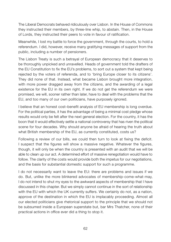The Liberal Democrats behaved ridiculously over Lisbon. In the House of Commons they instructed their members, by three-line whip, to abstain. Then, in the House of Lords, they instructed their peers to vote in favour of ratification.

Meanwhile, I lost my battle to force the government, through the courts, to hold a referendum. I did, however, receive many gratifying messages of support from the public, including a number of pensioners.

The Lisbon Treaty is such a betrayal of European democracy that it deserves to be thoroughly unpicked and unravelled. Heads of government told the drafters of the EU Constitution to fix the EU's problems, to sort out a system that kept being rejected by the voters of referenda, and to 'bring Europe closer to its citizens'. They did none of that. Instead, what became Lisbon brought more integration, with more power dragged away from the citizens, and the awarding of a legal existence for the EU in its own right. If we do not get the referendum we were promised, we will, sooner rather than later, have to deal with the problems that the EU, and too many of our own politicians, have purposely ignored.

I believe that an honest cost–benefit analysis of EU membership is long overdue. For the political parties, it has the advantage of being a minimal cost pledge whose results would only be felt after the next general election. For the country, it has the boon that it would effectively settle a national controversy that has riven the political scene for four decades. Why should anyone be afraid of hearing the truth about what British membership of the EU, as currently constituted, costs us?

Following a review of our bills, we could then turn to look at fixing the deficit. I suspect that the figures will show a massive negative. Whatever the figures, though, it will only be when the country is presented with an audit that we will be able to clean up our act. A determined effort of massive renegotiation would have to follow. The clarity of the costs would provide both the impetus for our negotiations, and the basis for substantial domestic support for such a programme.

I do not necessarily want to leave the EU: there are problems and issues if we do. But, unlike the more blinkered advocates of membership-come-what-may, I do not intend to shut my eyes to the awkward aspects of membership that I have discussed in this chapter. But we simply cannot continue in the sort of relationship with the EU with which the UK currently suffers. We certainly do not, as a nation, approve of the destination in which the EU is implacably proceeding. Almost all our elected politicians give rhetorical support to the principle that we should not be subsumed inside a European superstate but, bar Mrs Thatcher, none of their practical actions in office ever did a thing to stop it.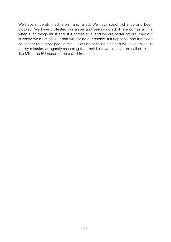We have sincerely tried reform and failed. We have sought change and been blocked. We have protested our anger and been ignored. There comes a time when such things must end. If it comes to it, and we are better off out, then out is where we must be. But that will not be our choice. If it happens, and it may do so sooner than most people think, it will be because Brussels will have driven us out by mistake, arrogantly assuming that their bluff would never be called. Much like MPs, the EU needs to be saved from itself.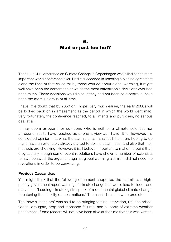# 6. Mad or just too hot?

The 2009 UN Conference on Climate Change in Copenhagen was billed as the most important world conference ever. Had it succeeded in reaching a binding agreement along the lines of that called for by those worried about global warming, it might well have been the conference at which the most catastrophic decisions ever had been taken. Those decisions would also, if they had not been so disastrous, have been the most ludicrous of all time.

I have little doubt that by 2050 or, I hope, very much earlier, the early 2000s will be looked back on in amazement as the period in which the world went mad. Very fortunately, the conference reached, to all intents and purposes, no serious deal at all.

It may seem arrogant for someone who is neither a climate scientist nor an economist to have reached as strong a view as I have. It is, however, my considered opinion that what the alarmists, as I shall call them, are hoping to do – and have unfortunately already started to do – is calamitous, and also that their methods are shocking. However, it is, I believe, important to make the point that, disgracefully though some recent revelations have shown a number of scientists to have behaved, the argument against global warming alarmism did not need the revelations in order to be convincing.

#### Previous Cassandras

You might think that the following document supported the alarmists: a highpriority government report warning of climate change that would lead to floods and starvation. 'Leading climatologists speak of a detrimental global climate change, threatening the stability of most nations.' The usual disasters were predicted.

The 'new climatic era' was said to be bringing famine, starvation, refugee crises, floods, droughts, crop and monsoon failures, and all sorts of extreme weather phenomena. Some readers will not have been alive at the time that this was written: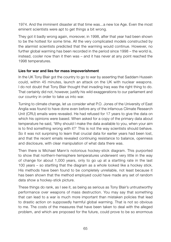1974. And the imminent disaster at that time was...a new Ice Age. Even the most eminent scientists were apt to get things a bit wrong.

They got it badly wrong again, moreover, in 1998, after that year had been shown to be the hottest for some time. All the very complicated models constructed by the alarmist scientists predicted that the warming would continue. However, no further global warming has been recorded in the period since 1998 – the world is, instead, cooler now than it then was – and it has never at any point reached the 1998 temperatures.

# Lies for war and lies for mass impoverishment

In the UK Tony Blair got the country to go to war by asserting that Saddam Hussein could, within 45 minutes, launch an attack on the UK with nuclear weapons. I do not doubt that Tony Blair thought that invading Iraq was the right thing to do. That certainly did not, however, justify his wild exaggerations to our parliament and our country in order to take us into war.

Turning to climate change, let us consider what P.O. Jones of the University of East Anglia was found to have done even before any of the infamous Climate Research Unit (CRU) emails were revealed. He had refused for 17 years to give the data on which his opinions were based. When asked for a copy of the primary data about temperature he said, 'Why should I make the data available to you, when your aim is to find something wrong with it?' This is not the way scientists should behave. So it was not surprising to learn that crucial data for earlier years had been lost, and that the recent emails revealed continuing resistance to balance, openness and disclosure, with clear manipulation of what data there was.

Then there is Michael Mann's notorious hockey-stick diagram. This purported to show that northern-hemisphere temperatures underwent very little in the way of change for about 1,000 years, only to go up at a startling rate in the last 100 years – so startling that the diagram as a whole looked like a hockey stick. His methods have been found to be completely unreliable, not least because it has been shown that the method employed could have made any set of random data show a hockey-stick picture.

These things do rank, as I see it, as being as serious as Tony Blair's untrustworthy performance over weapons of mass destruction. You may say that something that can lead to a war is much more important than mistaken policies that lead to drastic action on supposedly harmful global warming. That is not so obvious to me. The costs of the measures that have been taken to deal with the alleged problem, and which are proposed for the future, could prove to be so enormous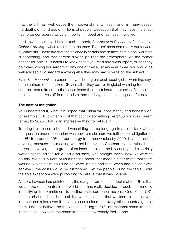that the bill may well cause the impoverishment, misery and, in many cases, the deaths of hundreds of millions of people. Deception that may have this effect has to be considered as very important indeed and, as I see it, wicked.

Lord Lawson put it well in his excellent book, *An Appeal to Reason: A Cool Look at Global Warming*1, when referring to the three 'Big Lies' most commonly put forward by alarmists. These are that the science is certain and settled, that global warming is happening, and that carbon dioxide pollutes the atmosphere. As the former chancellor said, it 'is helpful to know that if you read any press report, or hear any politician, giving houseroom to any one of these, let alone all three, you would be well advised to disregard anything else they may say or write on the subject'.<sup>2</sup>

Even *The Economist*, a paper that worries a great deal about global warming, says of the authors of the leaked CRU emails: 'they believe in global warming too much and their commitment to the cause leads them to tolerate poor scientific practice, to close themselves off from criticism, and to deny reasonable requests for data'.

# The cost of mitigation

As I understand it, what it is hoped that China will consistently and honestly do, for example, will voluntarily cost that country something like \$400 billion, in current terms, by 2020. That is an impressive thing to believe in.

To bring this closer to home, I was sitting not so long ago in a think-tank where the question under discussion was how to make sure we fulfilled our obligation to the EU to produce 20% of our energy from renewables by 2020. I cannot quote anything because the meeting was held under the Chatham House rules. I can tell you, however, that a group of eminent people in the UK energy and electricity worlds sat round the table and discussed, with straight faces, how we were to do this. We had in front of us a briefing paper that made it clear to me that there was no way this aim could be achieved in time and that, when and if ever it was achieved, the costs would be astronomic. Yet the people round the table (I was the sole exception) were purporting to believe that it was do-able.

As Lord Lawson has pointed out, the danger from the standpoint of the UK is that we are the one country in the world that has really decided to buck the trend by intensifying its commitment to cutting back carbon emissions. One of the UK's characteristics – I shall not call it a weakness! – is that we tend to comply with international rules, even if they are so ridiculous that every other country ignores them. I do not believe, on the whole, in failing to fulfil international commitments. In this case, however, the commitment is an extremely foolish one.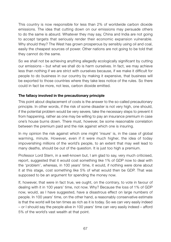This country is now responsible for less than 2% of worldwide carbon dioxide emissions. The idea that cutting down on our emissions may persuade others to do the same is absurd. Whatever they may say, China and India are not going to accept targets that seriously render their economic expansion vulnerable. Why should they? The West has grown prosperous by sensibly using oil and coal, easily the cheapest sources of power. Other nations are not going to be told that they cannot do the same.

So we shall not be achieving anything allegedly ecologically significant by cutting our emissions – but what we shall do is harm ourselves. In fact, we may achieve less than nothing if we are strict with ourselves because, if we make it difficult for people to do business in our country by making it expensive, that business will be exported to those countries where they take less notice of the rules. So there could in fact be more, not less, carbon dioxide emitted.

# The fallacy involved in the precautionary principle

This point about displacement of costs is the answer to the so-called precautionary principle. In other words, if the risk of some disaster is not very high, one should, if the potential problem would be very severe, take the necessary steps to prevent it from happening, rather as one may be willing to pay an insurance premium in case one's house burns down. There must, however, be some reasonable correlation between the premium paid and the risk against which one is insuring.

In my opinion the risk against which one might 'insure' is, in the case of global warming, minute. However, even if it were much higher, the idea of today impoverishing millions of the world's people, to an extent that may well lead to many deaths, should be out of the question. It is just too high a premium.

Professor Lord Stern, in a well-known but, I am glad to say, very much criticised, report, suggested that it would cost something like 1% of GDP now to deal with the 'problem', whereas, in 100 years' time, it would, if nothing were done about it at this stage, cost something like 5% of what would then be GDP. That was supposed to be an argument for spending the money now.

If, however, that were in fact true, we ought, on the contrary, to vote in favour of dealing with it in 100 years' time, not now. Why? Because the loss of 1% of GDP now, would, as I have suggested, have a disastrous effect on large numbers of people. In 100 years' time, on the other hand, a reasonably conservative estimate is that the world will be ten times as rich as it is today. So we can very easily indeed – or I should say the people alive in 100 years' time can very easily indeed – afford 5% of the world's vast wealth at that point.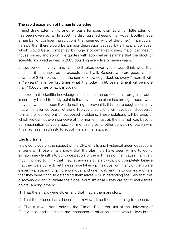#### The rapid expansion of human knowledge

I must draw attention to another basis for scepticism to which little attention has been given so far. In 2003 the distinguished economist Roger Bootle made a number of confident predictions that seemed wild at the time.<sup>3</sup> In particular, he said that there would be a major depression caused by a financial collapse, which would be accompanied by huge stock-market losses, major declines in house prices, and so on. He quotes with approval an estimate that the stock of scientific knowledge was in 2003 doubling every five or seven years.

Let us be conservative and assume it takes seven years. Just think what that means if it continues, as he expects that it will. Readers who are good at their powers of 2 will realise that if the sum of knowledge doubles every 7 years it will, in 49 years' time, be 128 times what it is today. In 98 years' time it will be more than 16,000 times what it is today.

It is true that scientific knowledge is not the same as economic progress, but it is certainly linked to it. My point is that, even if the alarmists are right about what they fear would happen if we do nothing to prevent it, it is near enough a certainty that within even 50 years, let alone 100 years, solutions will have been discovered to many of our current or supposed problems. These solutions will be ones of which we cannot even conceive at the moment, just as the internet was beyond our imagination 50 years ago. For me, this is yet another convincing reason why it is madness needlessly to adopt the alarmist stance.

### Electric trails

I now conclude on the subject of the CRU emails and hysterical green deceptions in general. Those emails show that the alarmists have been willing to go to extraordinary lengths to convince people of the rightness of their cause. I am very much inclined to think that they, at any rate to start with, did completely believe that they were correct. Yet having once taken up their position, many of them were evidently prepared to go to enormous, and unethical, lengths to convince others that they were right. In defending themselves – or in defending the view that this discovery did not invalidate the global alarmism case – they are apt to make three points, among others:

(1) That the emails were stolen and that that is the main story.

(2) That the science has all been peer reviewed, so there is nothing to discuss.

(3) That this was done only by the Climate Research Unit of the University of East Anglia, and that there are thousands of other scientists who believe in the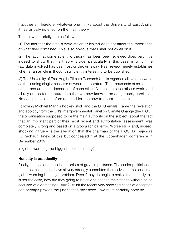hypothesis. Therefore, whatever one thinks about the University of East Anglia, it has virtually no effect on the main theory.

The answers, briefly, are as follows:

(1) The fact that the emails were stolen or leaked does not affect the importance of what they contained. This is so obvious that I shall not dwell on it.

(2) The fact that some scientific theory has been peer reviewed does very little indeed to show that the theory is true, particularly in this case, in which the raw data involved has been lost or thrown away. Peer review merely establishes whether an article is thought sufficiently interesting to be published.

(3) The University of East Anglia Climate Research Unit is regarded all over the world as the leading single measurer of world temperature. The 'thousands of scientists' concerned are not independent of each other. All build on each other's work, and all rely on the temperature data that we now know to be dangerously unreliable. No conspiracy is therefore required for one now to doubt the alarmism.

Following Michael Mann's hockey stick and the CRU emails, came the revelation and apology from the UN's Intergovernmental Panel on Climate Change (the IPCC), the organisation supposed to be the main authority on the subject, about the fact that an important part of their most recent and authoritative 'assessment' was completely wrong and based on a typographical error. Worse still – and, indeed, shocking if true – is the allegation that the chairman of the IPCC, Dr Rajendra K. Pachauri, knew of this but concealed it at the Copenhagen conference in December 2009.

Is global warming the biggest hoax in history?

# Honesty is practicality

Finally, there is one practical problem of great importance. The senior politicians in the three main parties have all very strongly committed themselves to the belief that global warming is a major problem. Even if they do begin to realise that actually this is not the case, how are they going to be able to change their stance without being accused of a damaging u-turn? I think the recent very shocking cases of deception can perhaps provide the justification they need – we must certainly hope so.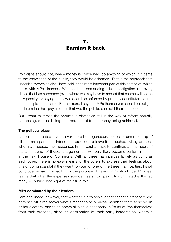# 7. Earning it back

Politicians should not, where money is concerned, do anything of which, if it came to the knowledge of the public, they would be ashamed. That is the approach that underlies everything else I have said in the most important part of this pamphlet, which deals with MPs' finances. Whether I am demanding a full investigation into every abuse that has happened (even where we may have to accept that shame will be the only penalty) or saying that laws should be enforced by properly constituted courts, the principle is the same. Furthermore, I say that MPs themselves should be obliged to determine their pay, in order that we, the public, can hold them to account.

But I want to stress the enormous obstacles still in the way of reform actually happening, of trust being restored, and of transparency being achieved.

### The political class

Labour has created a vast, ever more homogeneous, political class made up of all the main parties. It intends, in practice, to leave it untouched. Many of those who have abused their expenses in the past are set to continue as members of parliament and, of those, a large number will very likely become senior ministers in the next House of Commons. With all three main parties largely as guilty as each other, there is no easy means for the voters to express their feelings about this ongoing scandal if they want to vote for one of the three main parties. I shall conclude by saying what I think the purpose of having MPs should be. My great fear is that what the expenses scandal has all too painfully illuminated is that so many MPs have lost sight of their true role.

#### MPs dominated by their leaders

I am convinced, however, that whether it is to achieve that essential transparency, or to see MPs rediscover what it means to be a private member, there to serve his or her electors, one thing above all else is necessary: MPs must free themselves from their presently absolute domination by their party leaderships, whom it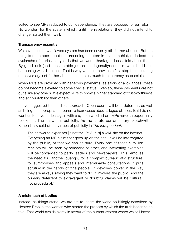suited to see MPs reduced to dull dependence. They are opposed to real reform. No wonder: for the system which, until the revelations, they did not intend to change, suited them well.

## Transparency essential

We have seen how a flawed system has been covertly still further abused. But the thing to remember about the preceding chapters in this pamphlet, or indeed the avalanche of stories last year is that we were, thank goodness, told about them. By good luck (and considerable journalistic ingenuity) some of what had been happening was disclosed. That is why we must now, as a first step to inoculating ourselves against further abuses, secure as much transparency as possible.

When MPs are provided with generous payments, as salary or allowances, these do not become elevated to some special status. Even so, these payments are not quite like any others. We expect MPs to show a higher standard of trustworthiness and accountability than others.

I have suggested the juridical approach. Open courts will be a deterrent, as well as being the appropriate tribunal to hear cases about alleged abuses. But I do not want us to have to deal again with a system which sharp MPs have an opportunity to exploit. The answer is publicity. As the astute parliamentary sketchwriter, Simon Carr, said of the virtues of publicity in *The Independent*:

The answer to expenses lis not the IPSA, it is a wiki-site on the internet. Everything an MP claims for goes up on the site. It will be interrogated by the public, of that we can be sure. Every one of those 5 million receipts will be seen by someone or other, and interesting examples will be forwarded to party leaders and newspapers. This removes the need for...another quango, for a complex bureaucratic structure, for summonses and appeals and interminable consultations. It puts scrutiny in the hands of 'the people'. It devolves power in the way they are always saying they want to do. It involves the public. And the primary deterrent to extravagant or doubtful claims will be cultural, not procedural.1

# A mishmash of bodies

Instead, as things stand, we are set to inherit the world so bitingly described by Heather Brooke, the woman who started the process by which the truth began to be told. That world avoids clarity in favour of the current system where we still have: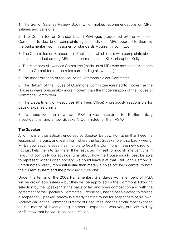1. The Senior Salaries Review Body (which makes recommendations on MPs' salaries and pensions)

2. The Committee on Standards and Privileges (appointed by the House of Commons to decide on complaints against individual MPs reported to them by the parliamentary commissioner for standards – currently John Lyon)

3. The Committee on Standards in Public Life (which deals with complaints about unethical conduct among MPs – the current chair is Sir Christopher Kelly)

4. The Members Allowances Committee (made up of MPs who advise the Members Estimate Committee on the rules surrounding allowances)

5. The modernisation of the House of Commons Select Committee

6. The Reform of the House of Commons Committee (created to modernise the House in ways presumably more modern than the modernisation of the House of Commons Committee)

7. The Department of Resources (the Fees Office) – previously responsible for paying expense claims

8. To these we can now add IPSA, a Commissioner for Parliamentary Investigations, and a new Speaker's Committee for the IPSA.<sup>2</sup>

# The Speaker

All of this is enthusiastically endorsed by Speaker Bercow. For rather than heed the lessons of the past, and learn from where the last Speaker went so badly wrong, Mr Bercow says he sees it as his role to *lead* the Commons in the new direction, not just help them to go there. If he restricted himself to modish interventions in favour of politically correct nostrums about how the House should best be able to represent wider British society, we could leave it at that. But John Bercow is, unfortunately, vastly more influential than merely a noise off: he is central to both the current system and the proposed future one.

Under the terms of the 2009 Parliamentary Standards Act, members of IPSA will be crown appointees – but they will be approved by the Commons following selection by the Speaker 'on the basis of fair and open competition and with the agreement of the Speaker's Committee'. Worse still, having been elected to replace a scapegoat, Speaker Bercow is already casting round for scapegoats of his own. Andrew Walker, the Commons Director of Resources, and the official most exposed on the matter of investigating members' expenses, was very publicly told by Mr Bercow that he would be losing *his* job.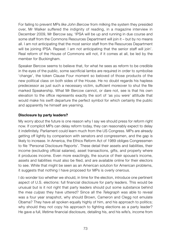For failing to prevent MPs *like John Bercow* from milking the system they presided over, Mr Walker suffered the indignity of reading, in a magazine interview in December 2009, Mr Bercow say, 'IPSA will be up and running in due course and some staff from the Commons Resources Department will join it – but by no means all. I am not anticipating that the most senior staff from the Resources Department will be joining IPSA. Repeat: I am not anticipating that the senior staff will join'. Real reform of the House of Commons will not, if it comes at all, be led by the member for Buckingham.

Speaker Bercow seems to believe that, for what *he* sees as reform to be credible in the eyes of the public, some sacrificial lambs are required in order to symbolise 'change', the token Clause Four moment so beloved of those products of the new political class on both sides of the House. He no doubt regards his hapless predecessor as just such a necessary victim, sufficient moreover to shut the file marked Speakership. What Mr Bercow cannot, or dare not, see is that his own elevation to the office represents exactly the sort of 'as you were' attitude that would make his swift departure the perfect symbol for which certainly the public and apparently he himself are yearning.

# Disclosure by party leaders?

My worry about the future is one reason why I say we should press for reform right now. If complicit MPs can delay reform today, they can reasonably expect to delay it indefinitely. Parliament could learn much from the US Congress. MPs are already getting off lightly by comparison with senators and congressmen, and the gap is likely to increase. In America, the Ethics Reform Act of 1989 obliges Congressmen to file 'Personal Disclosure Reports'. These detail their assets and liabilities, their income (excluding official salaries), asset transactions, gifts, and property where it produces income. Even more exactingly, the source of their spouse's income, assets and liabilities must also be filed, and are available online for their electors to see. While that might be seen as an American solution for American problems, it suggests that nothing I have proposed for MPs is overly onerous.

I do wonder too whether we should, in time for the election, introduce one pertinent aspect of U.S. elections: full financial disclosure for party leaders. This would be unusual but is it not right that party leaders should put some substance behind the *mea culpas* they have uttered? Since all the *Telegraph* was able to reveal was a four year snapshot, why should Brown, Cameron and Clegg not emulate Obama? They have all spoken equally highly of him, and his approach to politics; why should they not copy his approach to fighting elections as a party leader? He gave a full, lifetime financial disclosure, detailing his, and his wife's, income from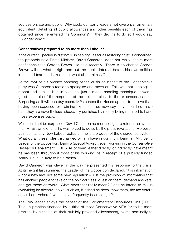sources private and public. Why could our party leaders not give a parliamentary equivalent, detailing all public allowances and other benefits each of them has obtained since he entered the Commons? If they decline to do so I would say 'I wonder why?'.

# Conservatives prepared to do more than Labour?

If the current Speaker is distinctly uninspiring, as far as restoring trust is concerned, the probable next Prime Minister, David Cameron, does not really inspire more confidence than Gordon Brown. He said recently, 'There is no chance Gordon Brown will do what is right and put the public interest before his own political interest'. I fear that is true – but what about himself?

At the root of his praised handling of the crisis on behalf of the Conservative party was Cameron's tactic to apologise and move on. This was not 'apologise, repent and punish' but, in essence, just a media handling technique. It was a good example of the response of the political class to the expenses scandal. Surprising as it will one day seem, MPs across the House appear to believe that, having been exposed for claiming expenses they now say they should not have had, they are nevertheless adequately punished by merely being required to hand those expenses back.

We should not be surprised. David Cameron no more sought to reform the system than Mr Brown did, until he was forced to do so by the press revelations. Moreover, as much as any New Labour politician, he is a product of the discredited system. What do all these roles discharged by him have in common: being an MP; being Leader of the Opposition; being a Special Advisor; even working in the Conservative Research Department (CRD)? All of them, either directly, or indirectly, have meant he has been throughout most of his working life in receipt of a publicly funded salary. He is unlikely to be a radical.

David Cameron was clever in the way he presented his response to the crisis. At its height last summer, the Leader of the Opposition declared, 'it is information – not a new law, not some new regulation – just the provision of information that has enabled people to take on the political class, question them, demand answers, and get those answers'. What does that really mean? Does he intend to tell us everything he already knows, such as, if indeed he does know them, the tax details about Lord Ashcroft which have frequently been sought?

The Tory leader enjoys the benefit of the Parliamentary Resources Unit (PRU). This, in practice financed by a tithe of most Conservative MPs (or to be more precise, by a tithing of their publicly provided allowances), exists nominally to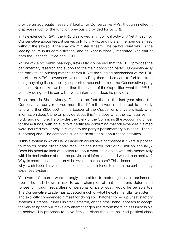provide an aggregate 'research' facility for Conservative MPs, though in effect it displaces much of the function previously provided for by CRD.

In its evidence to *Kelly*, the PRU disavowed any 'political activity'.3 Yet it is run by Conservative appointees, it serves only Tory MPs, and no staff member gets hired without the say-so of the shadow ministerial team. The party's chief whip is the leading figure in its administration, and its work is closely integrated with that of both the Leader's Office and CCHQ.

At one of *Kelly's* public hearings, Kevin Flack observed that the PRU 'provides the parliamentary research and support to the main opposition party'.<sup>4</sup> Unquestionably the party takes briefing materials from it. Yet the funding mechanism of the PRU – a slice of MPs' allowances 'volunteered' by them – is meant to forbid it from being anything like a publicly supported research arm of the Conservative party machine. No one knows better than the Leader of the Opposition what the PRU is actually doing for his party, but what information does he provide?

Then there is Short Money. Despite the fact that in the last year alone the Conservative party received more that £4 million worth of this public subsidy (and a further £650,000 for the Leader of the Opposition's private office), what information does Cameron provide about this? He does what the law requires him to do and no more. He provides the Clerk of the Commons (the accounting officer for these funds) with an auditor's certificate confirming that 'all expenses claimed were incurred exclusively in relation to the party's parliamentary business'. That is it: nothing else. The certificate gives no details at all about these activities.

Is this a system in which David Cameron would have confidence if it were supposed to monitor some other body receiving the better part of £5 million annually? Does his absolute lack of disclosure about what he is doing with this money tally with his declarations about 'the provision of information' and what it can achieve? Why, in short, does he not provide *any* information here? This silence is one reason why I wish I could have more confidence that he intends to reform the parliamentary expenses system.

Yet even if Cameron were strongly committed to restoring trust in parliament, even if he had shown himself to be a champion of that cause and determined to see it through, regardless of personal or party cost, would he be able to? The Conservative Leader has accepted much of what he calls the 'Blairite system', and explicitly commended himself for doing so. Thatcher ripped up unsatisfactory systems. Potential Prime Minister Cameron, on the other hand, appears to accept the very thing that will make any attempt at genuine reform more or less impossible to achieve. He proposes to leave firmly in place the vast, salaried political class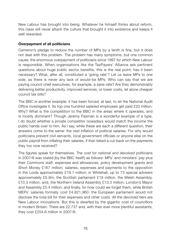New Labour has brought into being. Whatever he himself thinks about reform, this class will never attack the culture that brought it into existence and keeps it well rewarded.

# Overpayment of all politicians

Cameron's pledge to reduce the number of MPs by a tenth is fine, but it does not deal with this problem. The problem has many symptoms, but one common cause: the enormous overpayment of politicians since 1997 for which New Labour is responsible. When organisations like the TaxPayers' Alliance ask pertinent questions about huge public sector benefits, this is the real point: has it been necessary? What, after all, constituted a 'going rate'? Let us leave MPs to one side, as there is never any lack of would-be MPs. Who can say that we are paying council chief executives, for example, a sane rate? Are they demonstrably delivering better productivity, improved services, or lower costs, let alone cheaper council tax bills?

The BBC is another example: it has been forced, at last, to let the National Audit Office investigate it. Its top one hundred salaried employees get paid £20 million. Why? What is the competition to the BBC in the areas where it operates, and is mostly dominant? Though Jeremy Paxman is a wonderful example of a type, I do doubt whether a private competitor nowadays would match the income the public hands over to him. As I say, while these are each a different question, their answers come to the same: the vast inflation of political salaries. For why would politicians prevent civil servants, local government officials or anyone else on the public payroll from inflating their salaries, if that risked a cut-back on the payments they too now received?

The figures speak for themselves. The cost for *national and devolved* politicians in 2007/8 was stated (by the BBC itself!) as follows: MPs' and ministers' pay plus their Commons staff, expenses and allowances, policy development grants and Short Money £167 million; salaries, expenses and payments to the opposition in the Lords approximately £19.1 million; in Whitehall, up to 73 special advisers approximately £5.9m; the Scottish parliament £19 million, the Welsh Assembly, £10.3 million, and, the Northern Ireland Assembly £13.3 million; London's Mayor and Assembly £5.4 million; and finally, for how could we forget them, while British MEPs' salaries formally cost £4,821,960, the European parliament would not disclose the total bill for their expenses and other costs. All the devolved tiers are New Labour innovations. But this is dwarfed by the gigantic cost of councillors in modern Britain. There are 22,737 and, with their ever more plentiful assistants, they cost £254.6 million in 2007/8.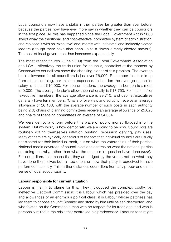Local councillors now have a stake in their parties far greater than ever before, because the parties now have ever more say in whether they can be councillors in the first place. All this has happened since the Local Government Act in 2000 swept away the traditional, and cost-effective, committee system of administration, and replaced it with an 'executive' one, mostly with 'cabinets' and indirectly elected leaders (though there have also been up to a dozen directly elected mayors). The cost of local government has increased exponentially.

The most recent figures (June 2009) from the Local Government Association (the LGA – effectively the trade union for councils, controlled at the moment by Conservative councillors) show the shocking extent of this problem. The average basic allowance for all councillors is just over £6,000. Remember that this is up from almost nothing, bar minimal expenses. In London the average councillor salary is almost £10,000. For council leaders, the average in London is almost £40,000. The average leader's allowance nationally is £17,753. For 'cabinet' or 'executive' members, the average allowance is £9,710, and cabinet/executives generally have ten members. 'Chairs of overview and scrutiny' receive an average allowance of £6,136, with the average number of such posts in each authority being 2.6; chairs of planning committees receive an average allowance of £5,623 and chairs of licensing committees an average of £4,334.

We were democratic long before this wave of public money flooded into the system. But my worry is how democratic we are going to be now. Councillors are routinely voting themselves inflation busting, recession defying, pay rises. Many of them are cynically conscious of the fact that individual councils are usually not elected for their individual merit, but on what the voters think of their parties. National media coverage of council elections centres on what the national parties are doing centrally, rather than what the councils in question have done *locally*. For councillors, this means that they are judged by the voters not on what they have done themselves but, all too often, on how their party is perceived to have performed nationally. This further distances councillors from any proper and direct sense of local accountability.

## Labour responsible for current situation

Labour is mainly to blame for this. They introduced the complex, costly, yet ineffective Electoral Commission; it is Labour which has presided over the pay and allowances of an enormous political class; it is Labour whose pettiness has led them to choose an unfit Speaker and stand by him until he self-destructed; and who foisted on the Commons a man with no respect for its traditions, and who is personally mired in the crisis that destroyed his predecessor. Labour's foes might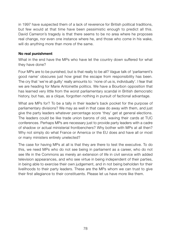in 1997 have suspected them of a lack of reverence for British political traditions, but few would at that time have been pessimistic enough to predict all this. David Cameron's tragedy is that there seems to be no area where he proposes real change, nor even one instance where he, and those who come in his wake, will do anything more than more of the same.

### No real punishment

What in the end have the MPs who have let the country down suffered for what they have done?

Four MPs are to be punished, but is that really to be all? Vague talk of 'parliament's good name' obscures just how great the escape from responsibility has been. The cry that 'we're all guilty' really amounts to: 'none of us is, individually'. I fear that we are heading for Marie Antoinette politics. We have a Bourbon opposition that has learned very little from the worst parliamentary scandal in British democratic history, but has, as a clique, forgotten nothing in pursuit of factional advantage.

What are MPs for? To be a tally in their leader's back pocket for the purpose of parliamentary divisions? We may as well in that case do away with them, and just give the party leaders whatever percentage score 'they' get at general elections. The leaders could be like trade union barons of old, waving their cards at TUC conferences. Perhaps MPs are necessary just to provide party leaders with a cadre of shadow or actual ministerial frontbenchers? Why bother with MPs at all then? Why not simply do what France or America or the EU does and have all or most or many ministers entirely unelected?

The case for having MPs at all is that they are there to test the executive. To do this, we need MPs who do not see being in parliament as a career, who do not see life in the Commons as merely an extension of life in civil service with added television appearances, and who see virtue in being independent of their parties, in being able to exercise their own judgement, and in not being beholden for their livelihoods to their party leaders. These are the MPs whom we can trust to give their first allegiance to their constituents. Please let us have more like them.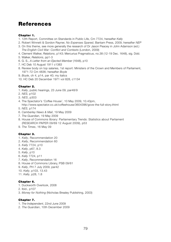# **References**

#### Chapter 1.

- 1. 12th Report, Committee on Standards in Public Life, Cm 7724, hereafter *Kelly*
- 2. Robert Winnett & Gordon Rayner, *No Expenses Spared*, Bantam Press, 2009, hereafter *NEP*
- 3. On this theme, see more generally the research of Dr Jason Peacey in John Adamson (ed.) *The English Civil War: Conflict and Contexts* (London, 2009)
- 4. Clement Walker, *Relations*, p143; Mercurius Pragmaticus, no.38 (12-19 Dec. 1648), sig. Ddd.
- 5. Walker, *Relations*, pp1-3
- 6. G. S., *A Letter from an Ejected Member* (1648), p10
- 7. HC Deb 10 August 1911 c1383
- 8. Review body on top salaries, 1st report: Ministers of the Crown and Members of Parliament, 1971-72 Cm 4836; hereafter *Boyle*
- 9. *Boyle*, ch 4, p14, par 40; my italics
- 10. HC Deb 20 December 1971 vol 828, c1134

#### Chapter 2.

- 1. *Kelly*, public hearings, 23 June 09, par48/9
- 2. *NES*, p102
- 3. *NES*, p303
- 4. The Spectator's 'Coffee House', 10 May 2009, 10.43pm, http://www.spectator.co.uk/coffeehouse/3604396/gove-the-full-story.thtml
- 5. *NES*, p174
- 6. *Camberley News & Mail*, 19 May 2009
- 7. *The Guardian*, 19 May 2009
- 8. House of Commons library: Parliamentary Trends: Statistics about Parliament (RESEARCH PAPER 09/69 12 August 2009), p53
- 9. *The Times*, 16 May 09

#### Chapter 3.

- 1. *Kelly*, Recommendation 20
- 2. *Kelly*, Recommendation 60
- 3. *Kelly* 7724, p10
- 4. *Kelly*, p67, 8.3
- 5. *Kelly*, p10
- 6. *Kelly* 7724, p11
- 7. *Kelly*, Recommendation 16
- 8. House of Commons Library, PSB 09/61
- 9. *Kelly*, PH 7 July 2009, par42
- 10. *Kelly*, p103, 13.43
- 11. *Kelly*, p28, 1.8

#### Chapter 6.

- 1. Duckworth Overlook, 2008
- 2. Ibid., p107
- 3. *Money for Nothing* (Nicholas Brealey Publishing, 2003)

#### Chapter 7.

- 1. *The Independent*, 22nd June 2009
- 2. *The Guardian*, 10th December 2009